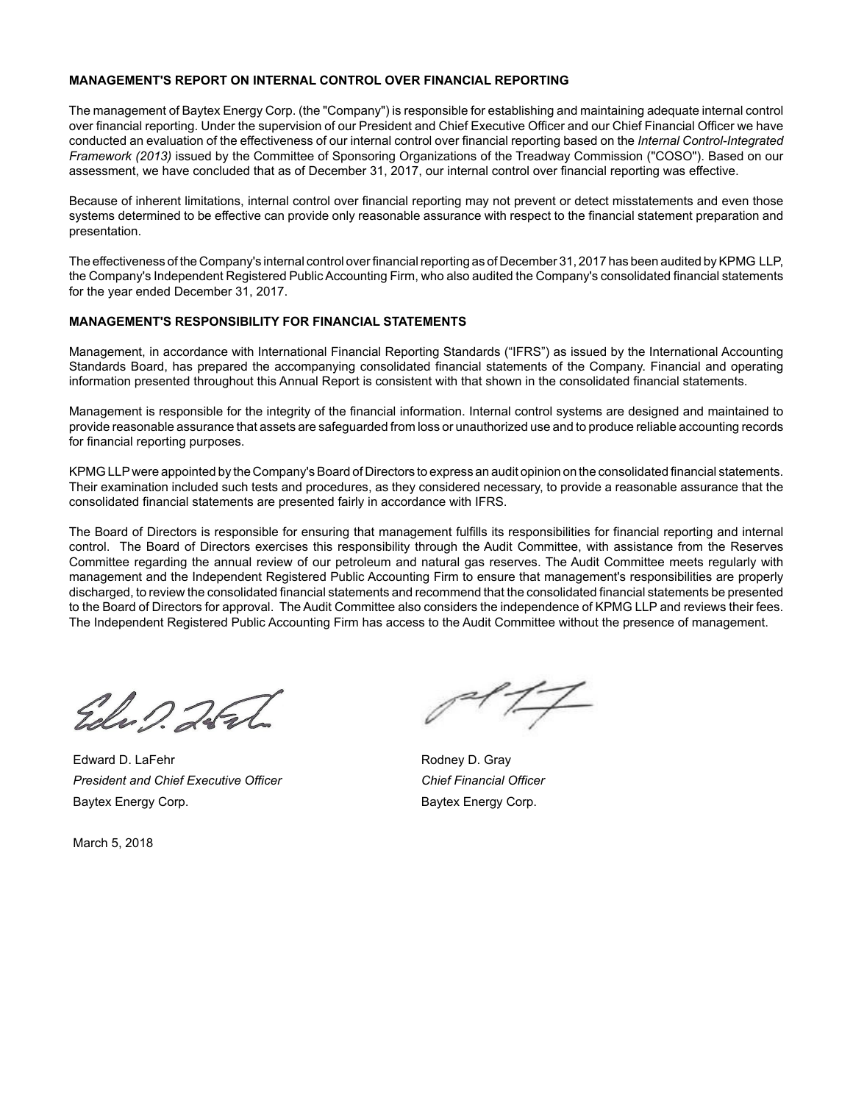### **MANAGEMENT'S REPORT ON INTERNAL CONTROL OVER FINANCIAL REPORTING**

The management of Baytex Energy Corp. (the "Company") is responsible for establishing and maintaining adequate internal control over financial reporting. Under the supervision of our President and Chief Executive Officer and our Chief Financial Officer we have conducted an evaluation of the effectiveness of our internal control over financial reporting based on the *Internal Control-Integrated Framework (2013)* issued by the Committee of Sponsoring Organizations of the Treadway Commission ("COSO"). Based on our assessment, we have concluded that as of December 31, 2017, our internal control over financial reporting was effective.

Because of inherent limitations, internal control over financial reporting may not prevent or detect misstatements and even those systems determined to be effective can provide only reasonable assurance with respect to the financial statement preparation and presentation.

The effectiveness of the Company's internal control over financial reporting as of December 31, 2017 has been audited by KPMG LLP, the Company's Independent Registered Public Accounting Firm, who also audited the Company's consolidated financial statements for the year ended December 31, 2017.

### **MANAGEMENT'S RESPONSIBILITY FOR FINANCIAL STATEMENTS**

Management, in accordance with International Financial Reporting Standards ("IFRS") as issued by the International Accounting Standards Board, has prepared the accompanying consolidated financial statements of the Company. Financial and operating information presented throughout this Annual Report is consistent with that shown in the consolidated financial statements.

Management is responsible for the integrity of the financial information. Internal control systems are designed and maintained to provide reasonable assurance that assets are safeguarded from loss or unauthorized use and to produce reliable accounting records for financial reporting purposes.

KPMG LLPwere appointed by the Company's Board of Directors to express an audit opinion on the consolidated financial statements. Their examination included such tests and procedures, as they considered necessary, to provide a reasonable assurance that the consolidated financial statements are presented fairly in accordance with IFRS.

The Board of Directors is responsible for ensuring that management fulfills its responsibilities for financial reporting and internal control. The Board of Directors exercises this responsibility through the Audit Committee, with assistance from the Reserves Committee regarding the annual review of our petroleum and natural gas reserves. The Audit Committee meets regularly with management and the Independent Registered Public Accounting Firm to ensure that management's responsibilities are properly discharged, to review the consolidated financial statements and recommend that the consolidated financial statements be presented to the Board of Directors for approval. The Audit Committee also considers the independence of KPMG LLP and reviews their fees. The Independent Registered Public Accounting Firm has access to the Audit Committee without the presence of management.

Edy 2 2Fel

Edward D. LaFehr **Rodney D. Gray** *President and Chief Executive Officer Chief Financial Officer* Baytex Energy Corp. The Corp. The Baytex Energy Corp.

March 5, 2018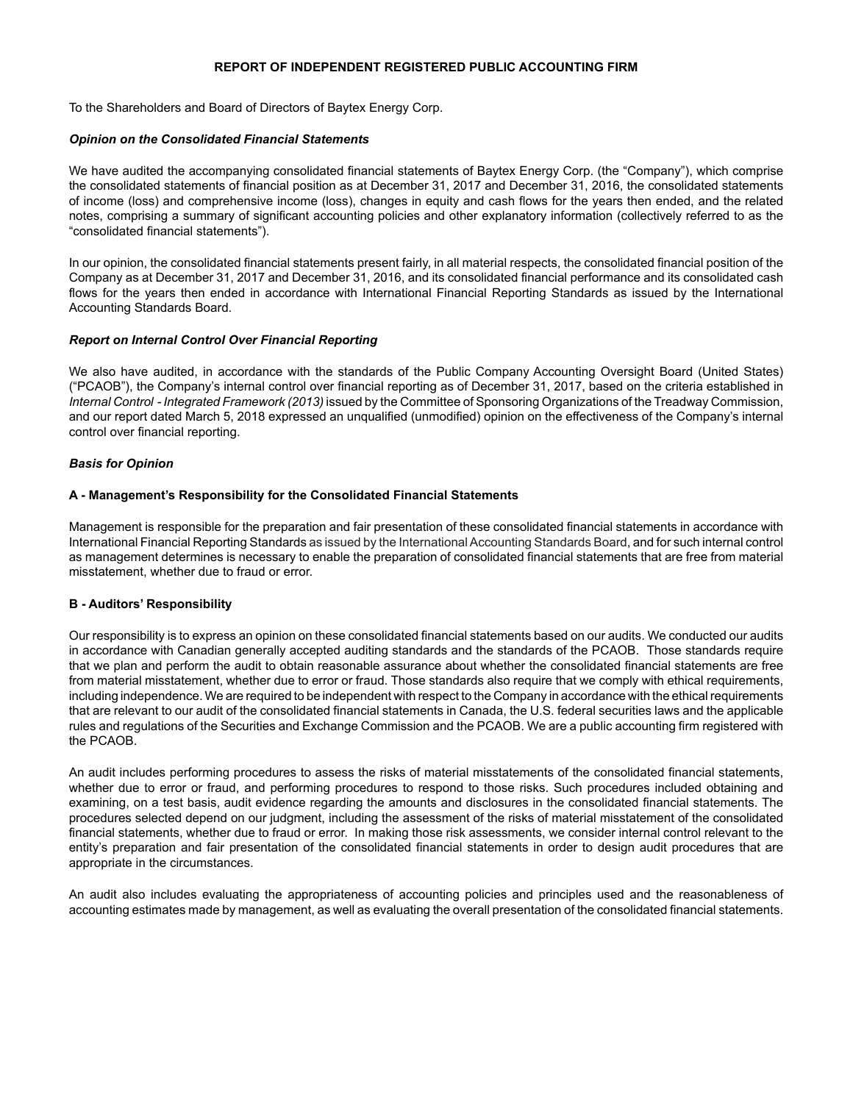#### **REPORT OF INDEPENDENT REGISTERED PUBLIC ACCOUNTING FIRM**

To the Shareholders and Board of Directors of Baytex Energy Corp.

#### *Opinion on the Consolidated Financial Statements*

We have audited the accompanying consolidated financial statements of Baytex Energy Corp. (the "Company"), which comprise the consolidated statements of financial position as at December 31, 2017 and December 31, 2016, the consolidated statements of income (loss) and comprehensive income (loss), changes in equity and cash flows for the years then ended, and the related notes, comprising a summary of significant accounting policies and other explanatory information (collectively referred to as the "consolidated financial statements").

In our opinion, the consolidated financial statements present fairly, in all material respects, the consolidated financial position of the Company as at December 31, 2017 and December 31, 2016, and its consolidated financial performance and its consolidated cash flows for the years then ended in accordance with International Financial Reporting Standards as issued by the International Accounting Standards Board.

#### *Report on Internal Control Over Financial Reporting*

We also have audited, in accordance with the standards of the Public Company Accounting Oversight Board (United States) ("PCAOB"), the Company's internal control over financial reporting as of December 31, 2017, based on the criteria established in *Internal Control - Integrated Framework (2013)* issued by the Committee of Sponsoring Organizations of the Treadway Commission, and our report dated March 5, 2018 expressed an unqualified (unmodified) opinion on the effectiveness of the Company's internal control over financial reporting.

#### *Basis for Opinion*

#### **A - Management's Responsibility for the Consolidated Financial Statements**

Management is responsible for the preparation and fair presentation of these consolidated financial statements in accordance with International Financial Reporting Standards as issued by the International Accounting Standards Board, and for such internal control as management determines is necessary to enable the preparation of consolidated financial statements that are free from material misstatement, whether due to fraud or error.

#### **B - Auditors' Responsibility**

Our responsibility is to express an opinion on these consolidated financial statements based on our audits. We conducted our audits in accordance with Canadian generally accepted auditing standards and the standards of the PCAOB. Those standards require that we plan and perform the audit to obtain reasonable assurance about whether the consolidated financial statements are free from material misstatement, whether due to error or fraud. Those standards also require that we comply with ethical requirements, including independence. We are required to be independent with respect to the Company in accordance with the ethical requirements that are relevant to our audit of the consolidated financial statements in Canada, the U.S. federal securities laws and the applicable rules and regulations of the Securities and Exchange Commission and the PCAOB. We are a public accounting firm registered with the PCAOB.

An audit includes performing procedures to assess the risks of material misstatements of the consolidated financial statements, whether due to error or fraud, and performing procedures to respond to those risks. Such procedures included obtaining and examining, on a test basis, audit evidence regarding the amounts and disclosures in the consolidated financial statements. The procedures selected depend on our judgment, including the assessment of the risks of material misstatement of the consolidated financial statements, whether due to fraud or error. In making those risk assessments, we consider internal control relevant to the entity's preparation and fair presentation of the consolidated financial statements in order to design audit procedures that are appropriate in the circumstances.

An audit also includes evaluating the appropriateness of accounting policies and principles used and the reasonableness of accounting estimates made by management, as well as evaluating the overall presentation of the consolidated financial statements.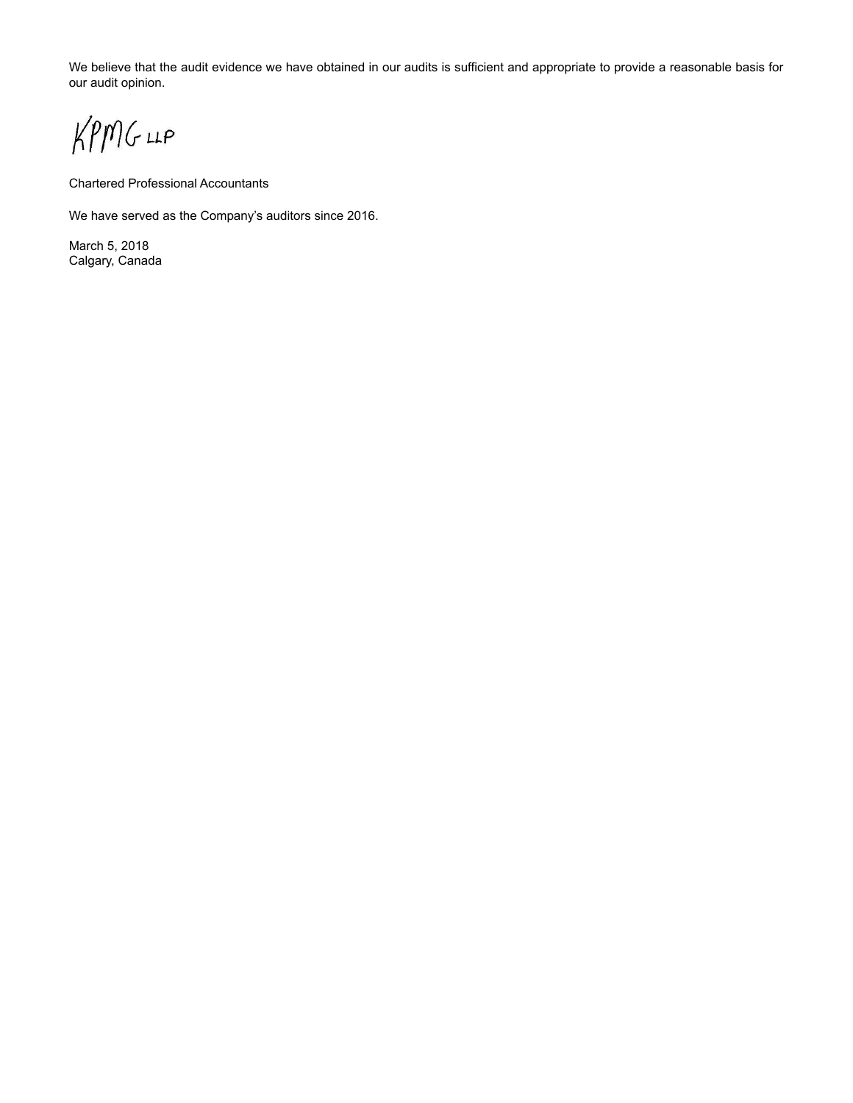We believe that the audit evidence we have obtained in our audits is sufficient and appropriate to provide a reasonable basis for our audit opinion.

KPMGLP

Chartered Professional Accountants

We have served as the Company's auditors since 2016.

March 5, 2018 Calgary, Canada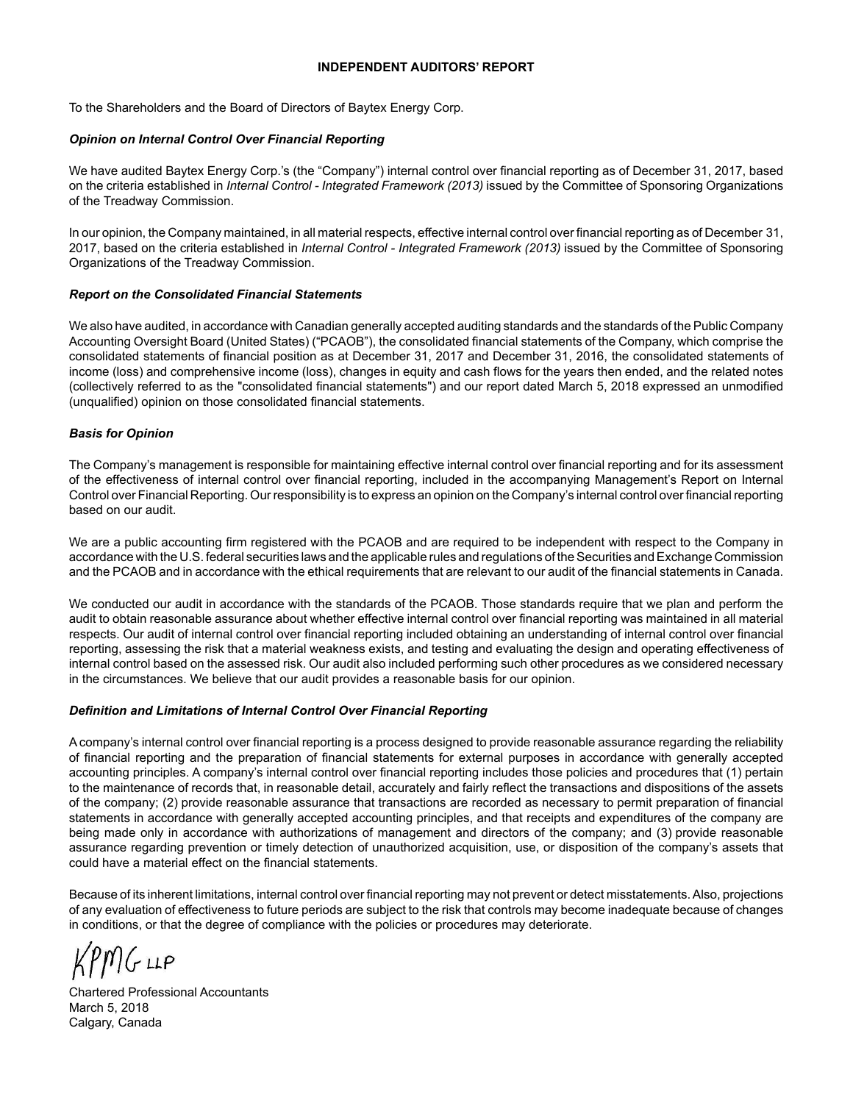#### **INDEPENDENT AUDITORS' REPORT**

To the Shareholders and the Board of Directors of Baytex Energy Corp.

### *Opinion on Internal Control Over Financial Reporting*

We have audited Baytex Energy Corp.'s (the "Company") internal control over financial reporting as of December 31, 2017, based on the criteria established in *Internal Control - Integrated Framework (2013)* issued by the Committee of Sponsoring Organizations of the Treadway Commission.

In our opinion, the Company maintained, in all material respects, effective internal control over financial reporting as of December 31, 2017, based on the criteria established in *Internal Control - Integrated Framework (2013)* issued by the Committee of Sponsoring Organizations of the Treadway Commission.

### *Report on the Consolidated Financial Statements*

We also have audited, in accordance with Canadian generally accepted auditing standards and the standards of the Public Company Accounting Oversight Board (United States) ("PCAOB"), the consolidated financial statements of the Company, which comprise the consolidated statements of financial position as at December 31, 2017 and December 31, 2016, the consolidated statements of income (loss) and comprehensive income (loss), changes in equity and cash flows for the years then ended, and the related notes (collectively referred to as the "consolidated financial statements") and our report dated March 5, 2018 expressed an unmodified (unqualified) opinion on those consolidated financial statements.

## *Basis for Opinion*

The Company's management is responsible for maintaining effective internal control over financial reporting and for its assessment of the effectiveness of internal control over financial reporting, included in the accompanying Management's Report on Internal Control over Financial Reporting. Our responsibility is to express an opinion on the Company's internal control over financial reporting based on our audit.

We are a public accounting firm registered with the PCAOB and are required to be independent with respect to the Company in accordance with the U.S. federal securities laws and the applicable rules and regulations of the Securities and Exchange Commission and the PCAOB and in accordance with the ethical requirements that are relevant to our audit of the financial statements in Canada.

We conducted our audit in accordance with the standards of the PCAOB. Those standards require that we plan and perform the audit to obtain reasonable assurance about whether effective internal control over financial reporting was maintained in all material respects. Our audit of internal control over financial reporting included obtaining an understanding of internal control over financial reporting, assessing the risk that a material weakness exists, and testing and evaluating the design and operating effectiveness of internal control based on the assessed risk. Our audit also included performing such other procedures as we considered necessary in the circumstances. We believe that our audit provides a reasonable basis for our opinion.

## *Definition and Limitations of Internal Control Over Financial Reporting*

Acompany's internal control over financial reporting is a process designed to provide reasonable assurance regarding the reliability of financial reporting and the preparation of financial statements for external purposes in accordance with generally accepted accounting principles. A company's internal control over financial reporting includes those policies and procedures that (1) pertain to the maintenance of records that, in reasonable detail, accurately and fairly reflect the transactions and dispositions of the assets of the company; (2) provide reasonable assurance that transactions are recorded as necessary to permit preparation of financial statements in accordance with generally accepted accounting principles, and that receipts and expenditures of the company are being made only in accordance with authorizations of management and directors of the company; and (3) provide reasonable assurance regarding prevention or timely detection of unauthorized acquisition, use, or disposition of the company's assets that could have a material effect on the financial statements.

Because of its inherent limitations, internal control over financial reporting may not prevent or detect misstatements. Also, projections of any evaluation of effectiveness to future periods are subject to the risk that controls may become inadequate because of changes in conditions, or that the degree of compliance with the policies or procedures may deteriorate.

 $M$ G $\mu$ P

Chartered Professional Accountants March 5, 2018 Calgary, Canada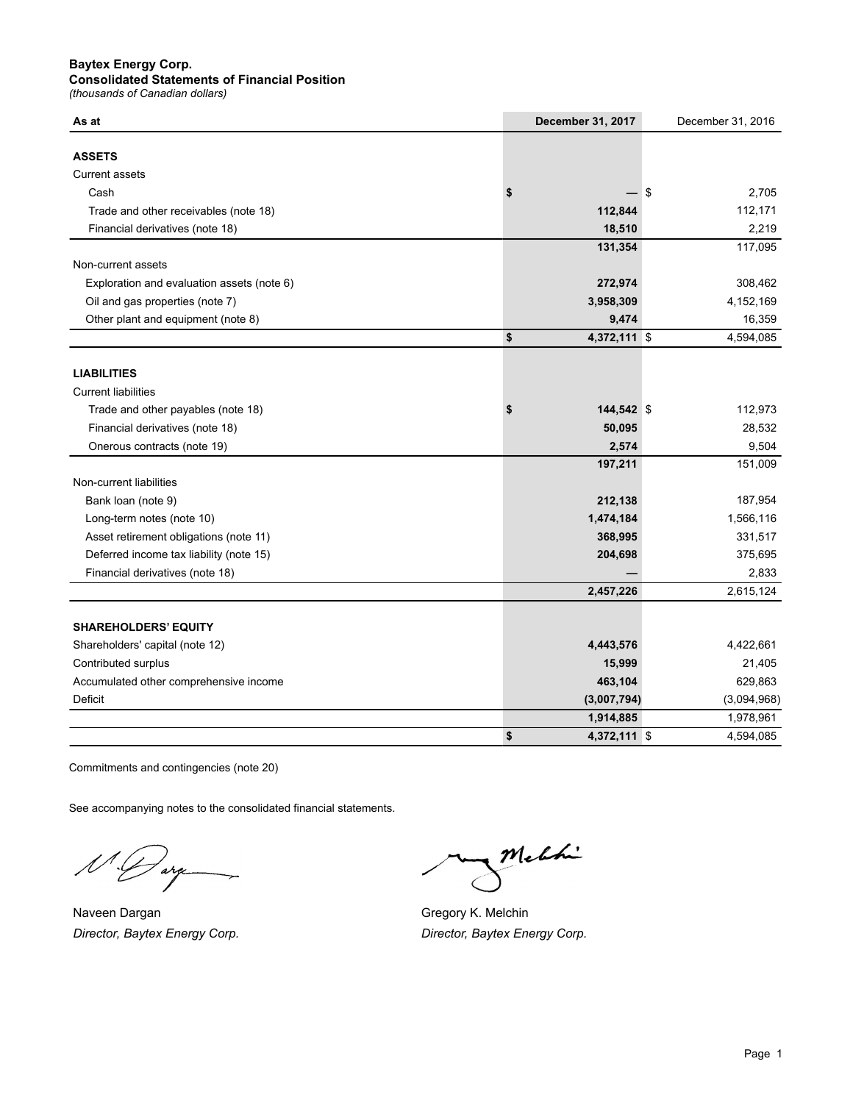**Baytex Energy Corp.**

### **Consolidated Statements of Financial Position**

*(thousands of Canadian dollars)*

| As at                                      | December 31, 2017  | December 31, 2016 |         |
|--------------------------------------------|--------------------|-------------------|---------|
| <b>ASSETS</b>                              |                    |                   |         |
| <b>Current assets</b>                      |                    |                   |         |
| Cash                                       |                    | 5                 | 2,705   |
| Trade and other receivables (note 18)      | 112,844            |                   | 112,171 |
| Financial derivatives (note 18)            | 18,510             |                   | 2,219   |
|                                            | 131,354            |                   | 117,095 |
| Non-current assets                         |                    |                   |         |
| Exploration and evaluation assets (note 6) | 272,974            |                   | 308,462 |
| Oil and gas properties (note 7)            | 3,958,309          | 4,152,169         |         |
| Other plant and equipment (note 8)         | 9,474              |                   | 16,359  |
|                                            | \$<br>4,372,111 \$ | 4,594,085         |         |
|                                            |                    |                   |         |
| <b>LIABILITIES</b>                         |                    |                   |         |
| <b>Current liabilities</b>                 |                    |                   |         |
| Trade and other payables (note 18)         | 144,542 \$         |                   | 112,973 |
| Financial derivatives (note 18)            | 50,095             |                   | 28,532  |
| Onerous contracts (note 19)                | 2,574              |                   | 9,504   |
|                                            | 197,211            |                   | 151,009 |
| Non-current liabilities                    |                    |                   |         |
| Bank loan (note 9)                         | 212,138            |                   | 187,954 |
| Long-term notes (note 10)                  | 1,474,184          | 1,566,116         |         |
| Asset retirement obligations (note 11)     | 368,995            |                   | 331,517 |
| Deferred income tax liability (note 15)    | 204,698            |                   | 375,695 |
| Financial derivatives (note 18)            |                    |                   | 2,833   |
|                                            | 2,457,226          | 2,615,124         |         |
| <b>SHAREHOLDERS' EQUITY</b>                |                    |                   |         |
| Shareholders' capital (note 12)            | 4,443,576          | 4,422,661         |         |
| Contributed surplus                        | 15,999             |                   | 21,405  |
| Accumulated other comprehensive income     | 463,104            |                   | 629,863 |
| Deficit                                    | (3,007,794)        | (3,094,968)       |         |
|                                            | 1,914,885          | 1,978,961         |         |
|                                            | \$<br>4,372,111 \$ | 4,594,085         |         |

Commitments and contingencies (note 20)

 $N.6$ arge

Naveen Dargan Gregory K. Melchin *Director, Baytex Energy Corp. Director, Baytex Energy Corp.*

Melhi<br>1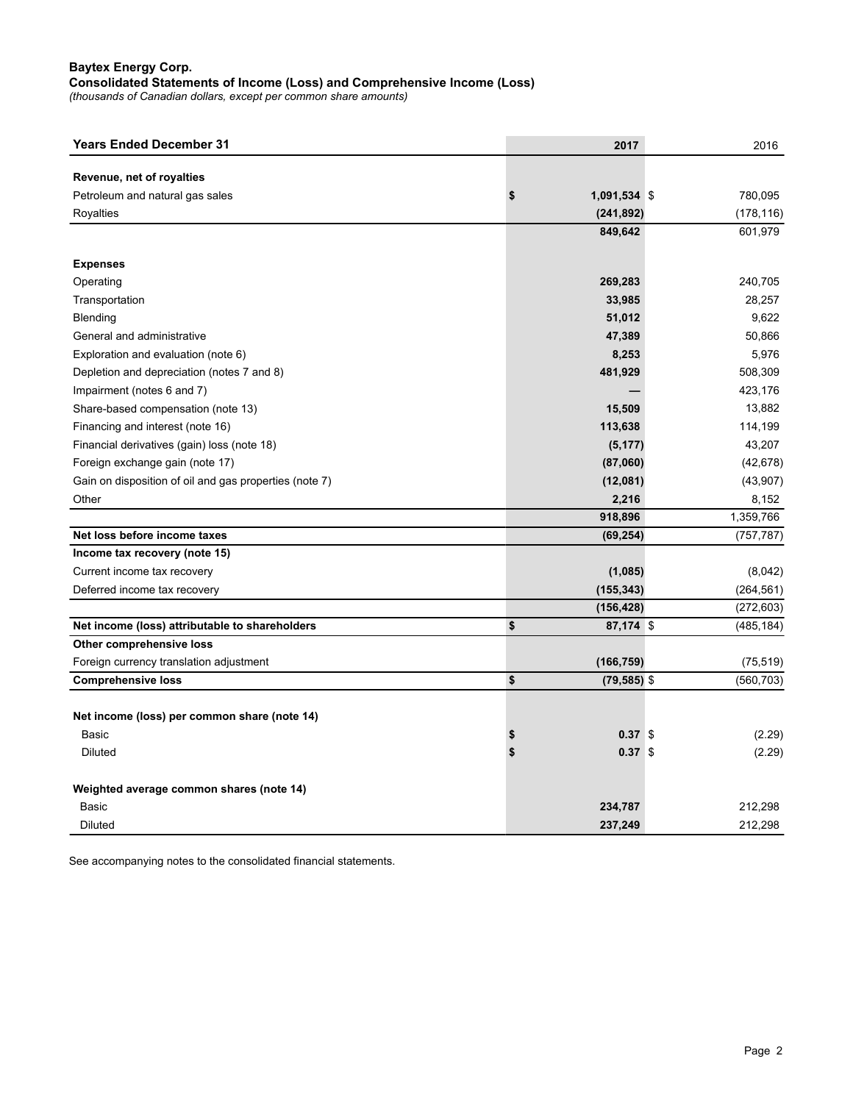## **Baytex Energy Corp. Consolidated Statements of Income (Loss) and Comprehensive Income (Loss)**

*(thousands of Canadian dollars, except per common share amounts)* 

| Revenue, net of royalties<br>Petroleum and natural gas sales<br>1,091,534 \$<br>780,095<br>\$<br>(241, 892)<br>(178,116)<br>Royalties<br>601,979<br>849,642<br><b>Expenses</b><br>269,283<br>240,705<br>Operating<br>33,985<br>28,257<br>Transportation<br>9,622<br>51,012<br>Blending<br>General and administrative<br>47,389<br>50,866<br>5,976<br>Exploration and evaluation (note 6)<br>8,253<br>508,309<br>481,929<br>Depletion and depreciation (notes 7 and 8)<br>423,176<br>Impairment (notes 6 and 7)<br>13,882<br>Share-based compensation (note 13)<br>15,509<br>114,199<br>Financing and interest (note 16)<br>113,638<br>43,207<br>Financial derivatives (gain) loss (note 18)<br>(5, 177)<br>(87,060)<br>(42, 678)<br>Foreign exchange gain (note 17)<br>Gain on disposition of oil and gas properties (note 7)<br>(12,081)<br>(43,907)<br>Other<br>2,216<br>8,152<br>918,896<br>1,359,766<br>(757, 787)<br>Net loss before income taxes<br>(69, 254)<br>Income tax recovery (note 15)<br>Current income tax recovery<br>(1,085)<br>(8,042)<br>(155, 343)<br>(264, 561)<br>Deferred income tax recovery<br>(156, 428)<br>(272, 603)<br>\$<br>Net income (loss) attributable to shareholders<br>87,174 \$<br>(485, 184)<br>Other comprehensive loss<br>Foreign currency translation adjustment<br>(75, 519)<br>(166, 759)<br>\$<br><b>Comprehensive loss</b><br>(560, 703)<br>$(79, 585)$ \$<br>Net income (loss) per common share (note 14)<br>Basic<br>$0.37$ \$<br>(2.29)<br>$0.37$ \$<br>(2.29)<br>Diluted<br>\$<br>Weighted average common shares (note 14)<br>212,298<br>Basic<br>234,787<br><b>Diluted</b> | <b>Years Ended December 31</b> | 2017    | 2016    |
|--------------------------------------------------------------------------------------------------------------------------------------------------------------------------------------------------------------------------------------------------------------------------------------------------------------------------------------------------------------------------------------------------------------------------------------------------------------------------------------------------------------------------------------------------------------------------------------------------------------------------------------------------------------------------------------------------------------------------------------------------------------------------------------------------------------------------------------------------------------------------------------------------------------------------------------------------------------------------------------------------------------------------------------------------------------------------------------------------------------------------------------------------------------------------------------------------------------------------------------------------------------------------------------------------------------------------------------------------------------------------------------------------------------------------------------------------------------------------------------------------------------------------------------------------------------------------------------------------------------------------------|--------------------------------|---------|---------|
|                                                                                                                                                                                                                                                                                                                                                                                                                                                                                                                                                                                                                                                                                                                                                                                                                                                                                                                                                                                                                                                                                                                                                                                                                                                                                                                                                                                                                                                                                                                                                                                                                                |                                |         |         |
|                                                                                                                                                                                                                                                                                                                                                                                                                                                                                                                                                                                                                                                                                                                                                                                                                                                                                                                                                                                                                                                                                                                                                                                                                                                                                                                                                                                                                                                                                                                                                                                                                                |                                |         |         |
|                                                                                                                                                                                                                                                                                                                                                                                                                                                                                                                                                                                                                                                                                                                                                                                                                                                                                                                                                                                                                                                                                                                                                                                                                                                                                                                                                                                                                                                                                                                                                                                                                                |                                |         |         |
|                                                                                                                                                                                                                                                                                                                                                                                                                                                                                                                                                                                                                                                                                                                                                                                                                                                                                                                                                                                                                                                                                                                                                                                                                                                                                                                                                                                                                                                                                                                                                                                                                                |                                |         |         |
|                                                                                                                                                                                                                                                                                                                                                                                                                                                                                                                                                                                                                                                                                                                                                                                                                                                                                                                                                                                                                                                                                                                                                                                                                                                                                                                                                                                                                                                                                                                                                                                                                                |                                |         |         |
|                                                                                                                                                                                                                                                                                                                                                                                                                                                                                                                                                                                                                                                                                                                                                                                                                                                                                                                                                                                                                                                                                                                                                                                                                                                                                                                                                                                                                                                                                                                                                                                                                                |                                |         |         |
|                                                                                                                                                                                                                                                                                                                                                                                                                                                                                                                                                                                                                                                                                                                                                                                                                                                                                                                                                                                                                                                                                                                                                                                                                                                                                                                                                                                                                                                                                                                                                                                                                                |                                |         |         |
|                                                                                                                                                                                                                                                                                                                                                                                                                                                                                                                                                                                                                                                                                                                                                                                                                                                                                                                                                                                                                                                                                                                                                                                                                                                                                                                                                                                                                                                                                                                                                                                                                                |                                |         |         |
|                                                                                                                                                                                                                                                                                                                                                                                                                                                                                                                                                                                                                                                                                                                                                                                                                                                                                                                                                                                                                                                                                                                                                                                                                                                                                                                                                                                                                                                                                                                                                                                                                                |                                |         |         |
|                                                                                                                                                                                                                                                                                                                                                                                                                                                                                                                                                                                                                                                                                                                                                                                                                                                                                                                                                                                                                                                                                                                                                                                                                                                                                                                                                                                                                                                                                                                                                                                                                                |                                |         |         |
|                                                                                                                                                                                                                                                                                                                                                                                                                                                                                                                                                                                                                                                                                                                                                                                                                                                                                                                                                                                                                                                                                                                                                                                                                                                                                                                                                                                                                                                                                                                                                                                                                                |                                |         |         |
|                                                                                                                                                                                                                                                                                                                                                                                                                                                                                                                                                                                                                                                                                                                                                                                                                                                                                                                                                                                                                                                                                                                                                                                                                                                                                                                                                                                                                                                                                                                                                                                                                                |                                |         |         |
|                                                                                                                                                                                                                                                                                                                                                                                                                                                                                                                                                                                                                                                                                                                                                                                                                                                                                                                                                                                                                                                                                                                                                                                                                                                                                                                                                                                                                                                                                                                                                                                                                                |                                |         |         |
|                                                                                                                                                                                                                                                                                                                                                                                                                                                                                                                                                                                                                                                                                                                                                                                                                                                                                                                                                                                                                                                                                                                                                                                                                                                                                                                                                                                                                                                                                                                                                                                                                                |                                |         |         |
|                                                                                                                                                                                                                                                                                                                                                                                                                                                                                                                                                                                                                                                                                                                                                                                                                                                                                                                                                                                                                                                                                                                                                                                                                                                                                                                                                                                                                                                                                                                                                                                                                                |                                |         |         |
|                                                                                                                                                                                                                                                                                                                                                                                                                                                                                                                                                                                                                                                                                                                                                                                                                                                                                                                                                                                                                                                                                                                                                                                                                                                                                                                                                                                                                                                                                                                                                                                                                                |                                |         |         |
|                                                                                                                                                                                                                                                                                                                                                                                                                                                                                                                                                                                                                                                                                                                                                                                                                                                                                                                                                                                                                                                                                                                                                                                                                                                                                                                                                                                                                                                                                                                                                                                                                                |                                |         |         |
|                                                                                                                                                                                                                                                                                                                                                                                                                                                                                                                                                                                                                                                                                                                                                                                                                                                                                                                                                                                                                                                                                                                                                                                                                                                                                                                                                                                                                                                                                                                                                                                                                                |                                |         |         |
|                                                                                                                                                                                                                                                                                                                                                                                                                                                                                                                                                                                                                                                                                                                                                                                                                                                                                                                                                                                                                                                                                                                                                                                                                                                                                                                                                                                                                                                                                                                                                                                                                                |                                |         |         |
|                                                                                                                                                                                                                                                                                                                                                                                                                                                                                                                                                                                                                                                                                                                                                                                                                                                                                                                                                                                                                                                                                                                                                                                                                                                                                                                                                                                                                                                                                                                                                                                                                                |                                |         |         |
|                                                                                                                                                                                                                                                                                                                                                                                                                                                                                                                                                                                                                                                                                                                                                                                                                                                                                                                                                                                                                                                                                                                                                                                                                                                                                                                                                                                                                                                                                                                                                                                                                                |                                |         |         |
|                                                                                                                                                                                                                                                                                                                                                                                                                                                                                                                                                                                                                                                                                                                                                                                                                                                                                                                                                                                                                                                                                                                                                                                                                                                                                                                                                                                                                                                                                                                                                                                                                                |                                |         |         |
|                                                                                                                                                                                                                                                                                                                                                                                                                                                                                                                                                                                                                                                                                                                                                                                                                                                                                                                                                                                                                                                                                                                                                                                                                                                                                                                                                                                                                                                                                                                                                                                                                                |                                |         |         |
|                                                                                                                                                                                                                                                                                                                                                                                                                                                                                                                                                                                                                                                                                                                                                                                                                                                                                                                                                                                                                                                                                                                                                                                                                                                                                                                                                                                                                                                                                                                                                                                                                                |                                |         |         |
|                                                                                                                                                                                                                                                                                                                                                                                                                                                                                                                                                                                                                                                                                                                                                                                                                                                                                                                                                                                                                                                                                                                                                                                                                                                                                                                                                                                                                                                                                                                                                                                                                                |                                |         |         |
|                                                                                                                                                                                                                                                                                                                                                                                                                                                                                                                                                                                                                                                                                                                                                                                                                                                                                                                                                                                                                                                                                                                                                                                                                                                                                                                                                                                                                                                                                                                                                                                                                                |                                |         |         |
|                                                                                                                                                                                                                                                                                                                                                                                                                                                                                                                                                                                                                                                                                                                                                                                                                                                                                                                                                                                                                                                                                                                                                                                                                                                                                                                                                                                                                                                                                                                                                                                                                                |                                |         |         |
|                                                                                                                                                                                                                                                                                                                                                                                                                                                                                                                                                                                                                                                                                                                                                                                                                                                                                                                                                                                                                                                                                                                                                                                                                                                                                                                                                                                                                                                                                                                                                                                                                                |                                |         |         |
|                                                                                                                                                                                                                                                                                                                                                                                                                                                                                                                                                                                                                                                                                                                                                                                                                                                                                                                                                                                                                                                                                                                                                                                                                                                                                                                                                                                                                                                                                                                                                                                                                                |                                |         |         |
|                                                                                                                                                                                                                                                                                                                                                                                                                                                                                                                                                                                                                                                                                                                                                                                                                                                                                                                                                                                                                                                                                                                                                                                                                                                                                                                                                                                                                                                                                                                                                                                                                                |                                |         |         |
|                                                                                                                                                                                                                                                                                                                                                                                                                                                                                                                                                                                                                                                                                                                                                                                                                                                                                                                                                                                                                                                                                                                                                                                                                                                                                                                                                                                                                                                                                                                                                                                                                                |                                |         |         |
|                                                                                                                                                                                                                                                                                                                                                                                                                                                                                                                                                                                                                                                                                                                                                                                                                                                                                                                                                                                                                                                                                                                                                                                                                                                                                                                                                                                                                                                                                                                                                                                                                                |                                |         |         |
|                                                                                                                                                                                                                                                                                                                                                                                                                                                                                                                                                                                                                                                                                                                                                                                                                                                                                                                                                                                                                                                                                                                                                                                                                                                                                                                                                                                                                                                                                                                                                                                                                                |                                |         |         |
|                                                                                                                                                                                                                                                                                                                                                                                                                                                                                                                                                                                                                                                                                                                                                                                                                                                                                                                                                                                                                                                                                                                                                                                                                                                                                                                                                                                                                                                                                                                                                                                                                                |                                |         |         |
|                                                                                                                                                                                                                                                                                                                                                                                                                                                                                                                                                                                                                                                                                                                                                                                                                                                                                                                                                                                                                                                                                                                                                                                                                                                                                                                                                                                                                                                                                                                                                                                                                                |                                | 237,249 | 212,298 |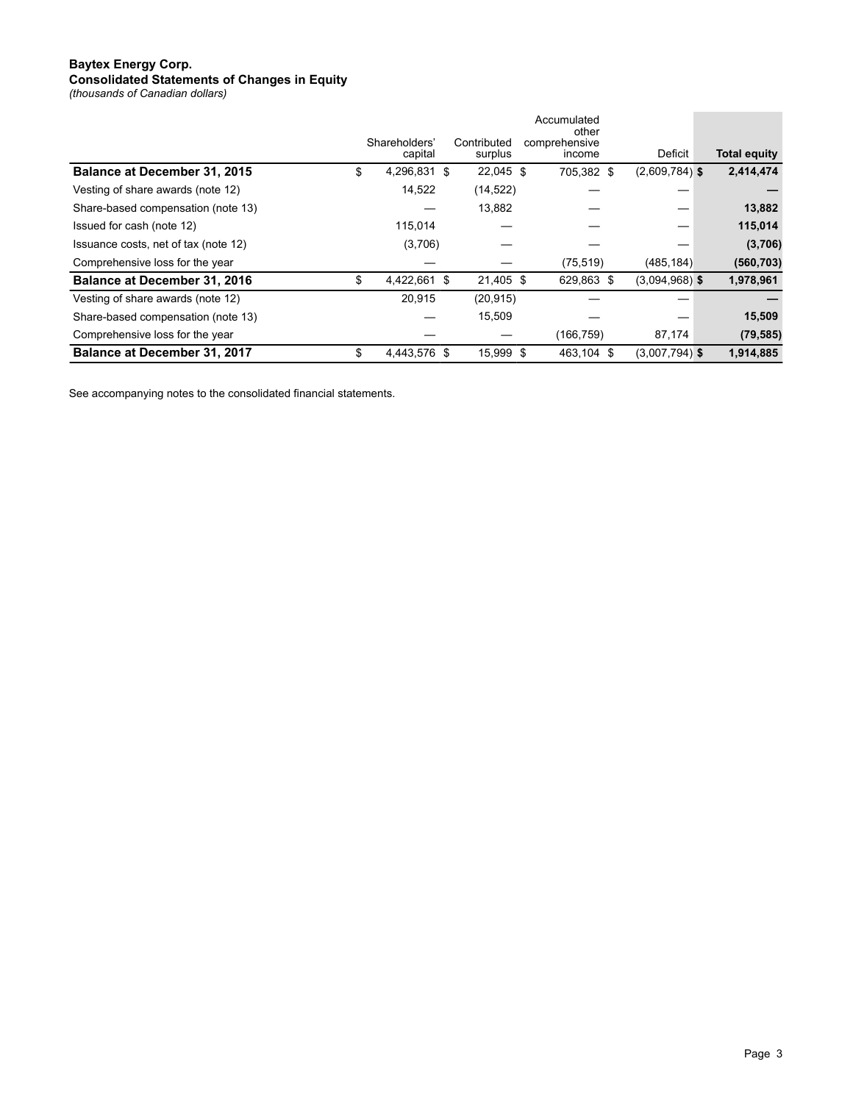#### **Baytex Energy Corp. Consolidated Statements of Changes in Equity**

*(thousands of Canadian dollars)* 

|                                      |                          |    |                        | Accumulated<br>other    |                  |                     |
|--------------------------------------|--------------------------|----|------------------------|-------------------------|------------------|---------------------|
|                                      | Shareholders'<br>capital |    | Contributed<br>surplus | comprehensive<br>income | Deficit          | <b>Total equity</b> |
| Balance at December 31, 2015         | \$<br>4,296,831 \$       |    | 22,045 \$              | 705,382 \$              | $(2,609,784)$ \$ | 2,414,474           |
| Vesting of share awards (note 12)    | 14,522                   |    | (14, 522)              |                         |                  |                     |
| Share-based compensation (note 13)   |                          |    | 13,882                 |                         |                  | 13,882              |
| Issued for cash (note 12)            | 115,014                  |    |                        |                         |                  | 115,014             |
| Issuance costs, net of tax (note 12) | (3,706)                  |    |                        |                         |                  | (3,706)             |
| Comprehensive loss for the year      |                          |    |                        | (75, 519)               | (485, 184)       | (560, 703)          |
| Balance at December 31, 2016         | \$<br>4,422,661          | -S | 21,405 \$              | 629,863 \$              | $(3,094,968)$ \$ | 1,978,961           |
| Vesting of share awards (note 12)    | 20.915                   |    | (20, 915)              |                         |                  |                     |
| Share-based compensation (note 13)   |                          |    | 15,509                 |                         |                  | 15,509              |
| Comprehensive loss for the year      |                          |    |                        | (166, 759)              | 87,174           | (79, 585)           |
| Balance at December 31, 2017         | \$<br>4,443,576 \$       |    | 15,999 \$              | 463,104 \$              | $(3,007,794)$ \$ | 1,914,885           |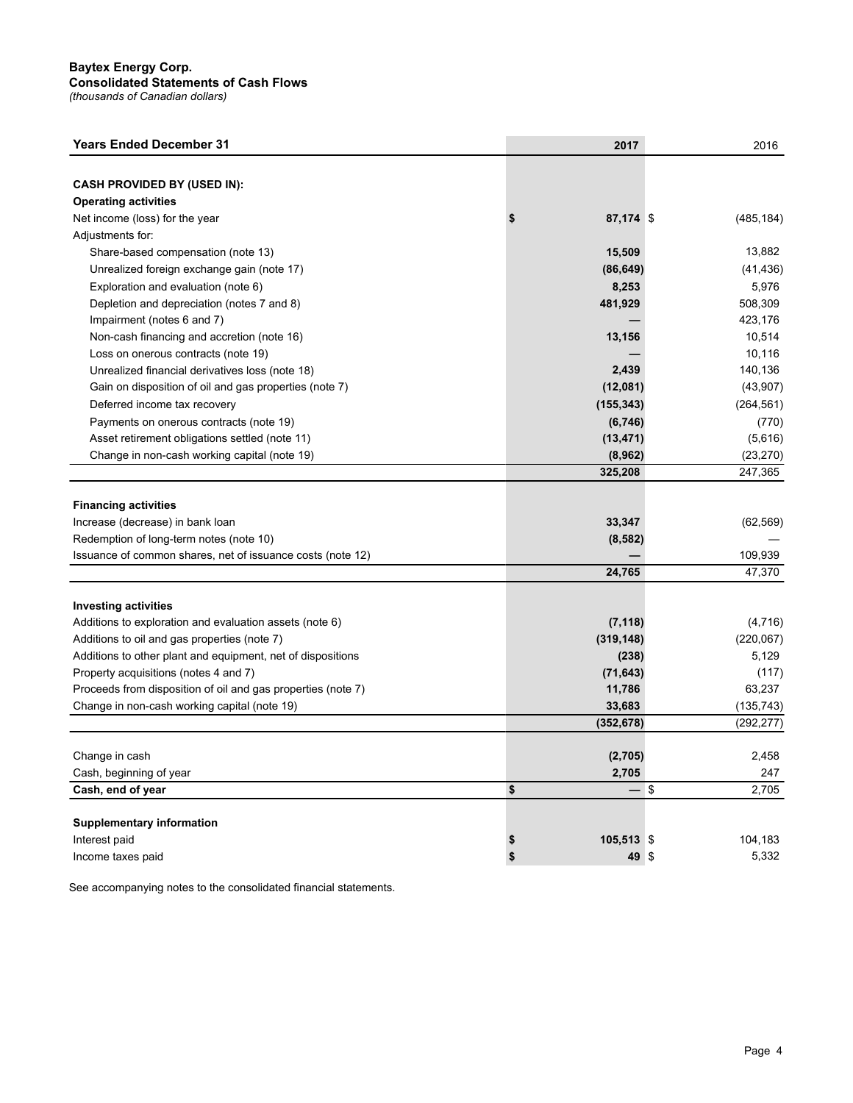| <b>Years Ended December 31</b>                               | 2017       | 2016          |
|--------------------------------------------------------------|------------|---------------|
|                                                              |            |               |
| <b>CASH PROVIDED BY (USED IN):</b>                           |            |               |
| <b>Operating activities</b>                                  |            |               |
| Net income (loss) for the year                               | 87,174 \$  | (485, 184)    |
| Adjustments for:                                             |            |               |
| Share-based compensation (note 13)                           | 15,509     | 13,882        |
| Unrealized foreign exchange gain (note 17)                   | (86, 649)  | (41, 436)     |
| Exploration and evaluation (note 6)                          | 8,253      | 5,976         |
| Depletion and depreciation (notes 7 and 8)                   | 481,929    | 508,309       |
| Impairment (notes 6 and 7)                                   |            | 423,176       |
| Non-cash financing and accretion (note 16)                   | 13,156     | 10,514        |
| Loss on onerous contracts (note 19)                          |            | 10,116        |
| Unrealized financial derivatives loss (note 18)              | 2,439      | 140,136       |
| Gain on disposition of oil and gas properties (note 7)       | (12,081)   | (43,907)      |
| Deferred income tax recovery                                 | (155, 343) | (264, 561)    |
| Payments on onerous contracts (note 19)                      | (6, 746)   | (770)         |
| Asset retirement obligations settled (note 11)               | (13, 471)  | (5,616)       |
| Change in non-cash working capital (note 19)                 | (8,962)    | (23, 270)     |
|                                                              | 325,208    | 247,365       |
| <b>Financing activities</b>                                  |            |               |
| Increase (decrease) in bank loan                             | 33,347     | (62, 569)     |
| Redemption of long-term notes (note 10)                      | (8, 582)   |               |
| Issuance of common shares, net of issuance costs (note 12)   |            | 109,939       |
|                                                              | 24,765     | 47,370        |
| <b>Investing activities</b>                                  |            |               |
| Additions to exploration and evaluation assets (note 6)      | (7, 118)   | (4, 716)      |
| Additions to oil and gas properties (note 7)                 | (319, 148) | (220, 067)    |
| Additions to other plant and equipment, net of dispositions  | (238)      | 5,129         |
| Property acquisitions (notes 4 and 7)                        | (71, 643)  | (117)         |
| Proceeds from disposition of oil and gas properties (note 7) | 11,786     | 63,237        |
| Change in non-cash working capital (note 19)                 | 33,683     | (135, 743)    |
|                                                              | (352, 678) | (292, 277)    |
|                                                              |            |               |
| Change in cash                                               | (2,705)    | 2,458         |
| Cash, beginning of year                                      | 2,705      | 247           |
| Cash, end of year                                            | \$         | 2,705<br>— \$ |
| <b>Supplementary information</b>                             |            |               |
| Interest paid                                                | 105,513 \$ | 104,183       |
| Income taxes paid                                            | 49 \$      | 5,332         |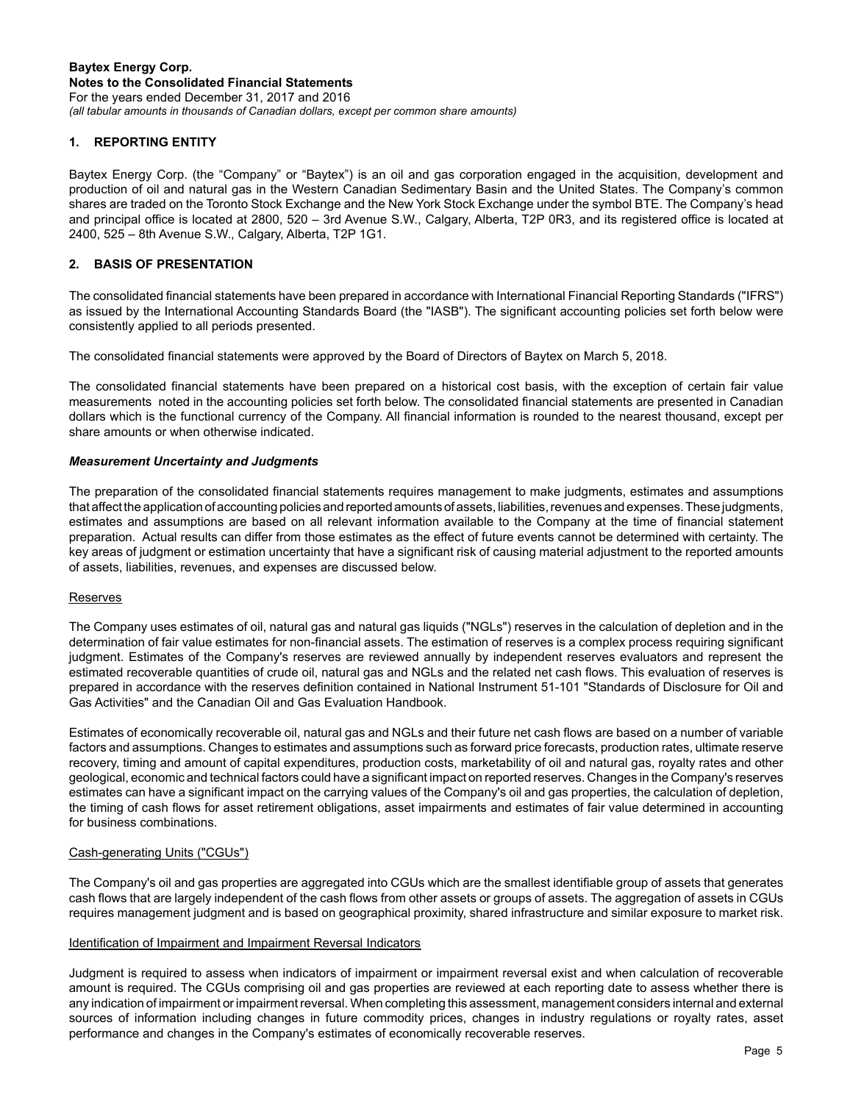#### **Baytex Energy Corp. Notes to the Consolidated Financial Statements**  For the years ended December 31, 2017 and 2016 *(all tabular amounts in thousands of Canadian dollars, except per common share amounts)*

### **1. REPORTING ENTITY**

Baytex Energy Corp. (the "Company" or "Baytex") is an oil and gas corporation engaged in the acquisition, development and production of oil and natural gas in the Western Canadian Sedimentary Basin and the United States. The Company's common shares are traded on the Toronto Stock Exchange and the New York Stock Exchange under the symbol BTE. The Company's head and principal office is located at 2800, 520 – 3rd Avenue S.W., Calgary, Alberta, T2P 0R3, and its registered office is located at 2400, 525 – 8th Avenue S.W., Calgary, Alberta, T2P 1G1.

### **2. BASIS OF PRESENTATION**

The consolidated financial statements have been prepared in accordance with International Financial Reporting Standards ("IFRS") as issued by the International Accounting Standards Board (the "IASB"). The significant accounting policies set forth below were consistently applied to all periods presented.

The consolidated financial statements were approved by the Board of Directors of Baytex on March 5, 2018.

The consolidated financial statements have been prepared on a historical cost basis, with the exception of certain fair value measurements noted in the accounting policies set forth below. The consolidated financial statements are presented in Canadian dollars which is the functional currency of the Company. All financial information is rounded to the nearest thousand, except per share amounts or when otherwise indicated.

#### *Measurement Uncertainty and Judgments*

The preparation of the consolidated financial statements requires management to make judgments, estimates and assumptions that affect the application of accounting policies and reported amounts of assets, liabilities, revenues and expenses. These judgments, estimates and assumptions are based on all relevant information available to the Company at the time of financial statement preparation. Actual results can differ from those estimates as the effect of future events cannot be determined with certainty. The key areas of judgment or estimation uncertainty that have a significant risk of causing material adjustment to the reported amounts of assets, liabilities, revenues, and expenses are discussed below.

#### **Reserves**

The Company uses estimates of oil, natural gas and natural gas liquids ("NGLs") reserves in the calculation of depletion and in the determination of fair value estimates for non-financial assets. The estimation of reserves is a complex process requiring significant judgment. Estimates of the Company's reserves are reviewed annually by independent reserves evaluators and represent the estimated recoverable quantities of crude oil, natural gas and NGLs and the related net cash flows. This evaluation of reserves is prepared in accordance with the reserves definition contained in National Instrument 51-101 "Standards of Disclosure for Oil and Gas Activities" and the Canadian Oil and Gas Evaluation Handbook.

Estimates of economically recoverable oil, natural gas and NGLs and their future net cash flows are based on a number of variable factors and assumptions. Changes to estimates and assumptions such as forward price forecasts, production rates, ultimate reserve recovery, timing and amount of capital expenditures, production costs, marketability of oil and natural gas, royalty rates and other geological, economic and technical factors could have a significant impact on reported reserves. Changes in the Company's reserves estimates can have a significant impact on the carrying values of the Company's oil and gas properties, the calculation of depletion, the timing of cash flows for asset retirement obligations, asset impairments and estimates of fair value determined in accounting for business combinations.

#### Cash-generating Units ("CGUs")

The Company's oil and gas properties are aggregated into CGUs which are the smallest identifiable group of assets that generates cash flows that are largely independent of the cash flows from other assets or groups of assets. The aggregation of assets in CGUs requires management judgment and is based on geographical proximity, shared infrastructure and similar exposure to market risk.

#### Identification of Impairment and Impairment Reversal Indicators

Judgment is required to assess when indicators of impairment or impairment reversal exist and when calculation of recoverable amount is required. The CGUs comprising oil and gas properties are reviewed at each reporting date to assess whether there is any indication of impairment or impairment reversal. When completing this assessment, management considers internal and external sources of information including changes in future commodity prices, changes in industry regulations or royalty rates, asset performance and changes in the Company's estimates of economically recoverable reserves.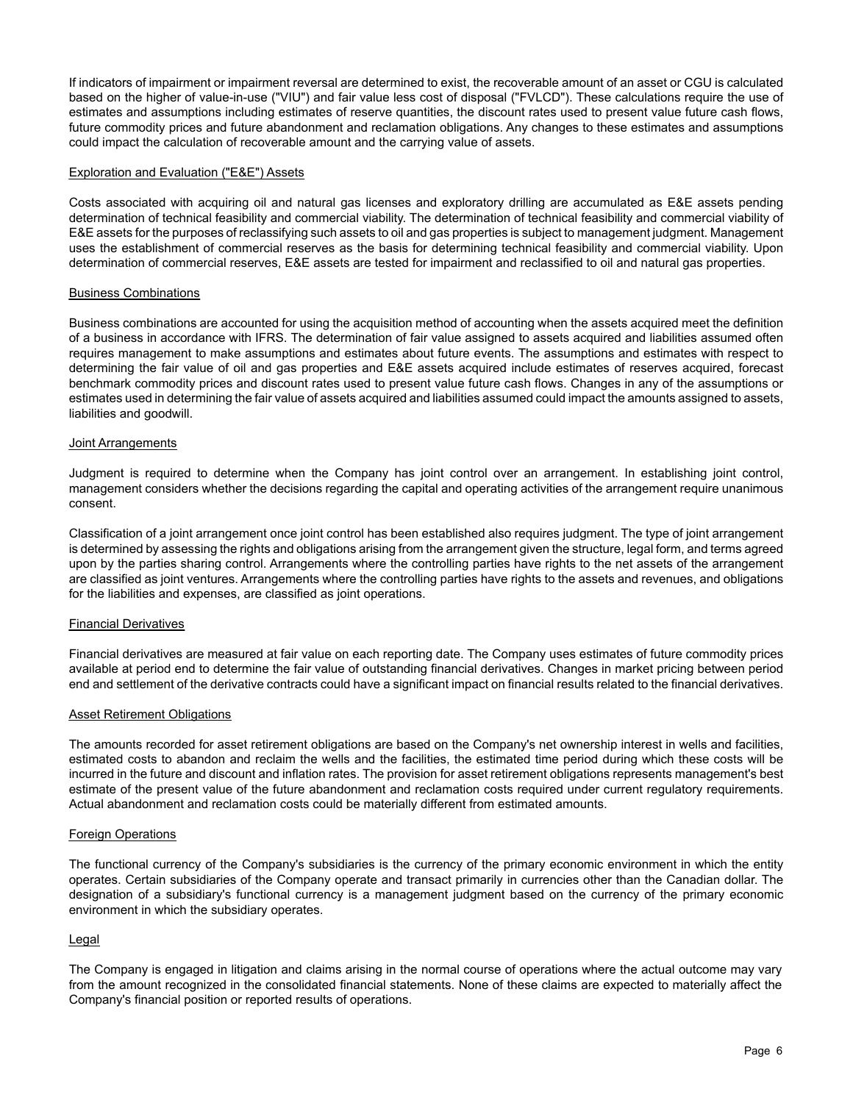If indicators of impairment or impairment reversal are determined to exist, the recoverable amount of an asset or CGU is calculated based on the higher of value-in-use ("VIU") and fair value less cost of disposal ("FVLCD"). These calculations require the use of estimates and assumptions including estimates of reserve quantities, the discount rates used to present value future cash flows, future commodity prices and future abandonment and reclamation obligations. Any changes to these estimates and assumptions could impact the calculation of recoverable amount and the carrying value of assets.

### Exploration and Evaluation ("E&E") Assets

Costs associated with acquiring oil and natural gas licenses and exploratory drilling are accumulated as E&E assets pending determination of technical feasibility and commercial viability. The determination of technical feasibility and commercial viability of E&E assets for the purposes of reclassifying such assets to oil and gas properties is subject to management judgment. Management uses the establishment of commercial reserves as the basis for determining technical feasibility and commercial viability. Upon determination of commercial reserves, E&E assets are tested for impairment and reclassified to oil and natural gas properties.

#### Business Combinations

Business combinations are accounted for using the acquisition method of accounting when the assets acquired meet the definition of a business in accordance with IFRS. The determination of fair value assigned to assets acquired and liabilities assumed often requires management to make assumptions and estimates about future events. The assumptions and estimates with respect to determining the fair value of oil and gas properties and E&E assets acquired include estimates of reserves acquired, forecast benchmark commodity prices and discount rates used to present value future cash flows. Changes in any of the assumptions or estimates used in determining the fair value of assets acquired and liabilities assumed could impact the amounts assigned to assets, liabilities and goodwill.

#### **Joint Arrangements**

Judgment is required to determine when the Company has joint control over an arrangement. In establishing joint control, management considers whether the decisions regarding the capital and operating activities of the arrangement require unanimous consent.

Classification of a joint arrangement once joint control has been established also requires judgment. The type of joint arrangement is determined by assessing the rights and obligations arising from the arrangement given the structure, legal form, and terms agreed upon by the parties sharing control. Arrangements where the controlling parties have rights to the net assets of the arrangement are classified as joint ventures. Arrangements where the controlling parties have rights to the assets and revenues, and obligations for the liabilities and expenses, are classified as joint operations.

#### Financial Derivatives

Financial derivatives are measured at fair value on each reporting date. The Company uses estimates of future commodity prices available at period end to determine the fair value of outstanding financial derivatives. Changes in market pricing between period end and settlement of the derivative contracts could have a significant impact on financial results related to the financial derivatives.

#### Asset Retirement Obligations

The amounts recorded for asset retirement obligations are based on the Company's net ownership interest in wells and facilities, estimated costs to abandon and reclaim the wells and the facilities, the estimated time period during which these costs will be incurred in the future and discount and inflation rates. The provision for asset retirement obligations represents management's best estimate of the present value of the future abandonment and reclamation costs required under current regulatory requirements. Actual abandonment and reclamation costs could be materially different from estimated amounts.

#### Foreign Operations

The functional currency of the Company's subsidiaries is the currency of the primary economic environment in which the entity operates. Certain subsidiaries of the Company operate and transact primarily in currencies other than the Canadian dollar. The designation of a subsidiary's functional currency is a management judgment based on the currency of the primary economic environment in which the subsidiary operates.

#### **Legal**

The Company is engaged in litigation and claims arising in the normal course of operations where the actual outcome may vary from the amount recognized in the consolidated financial statements. None of these claims are expected to materially affect the Company's financial position or reported results of operations.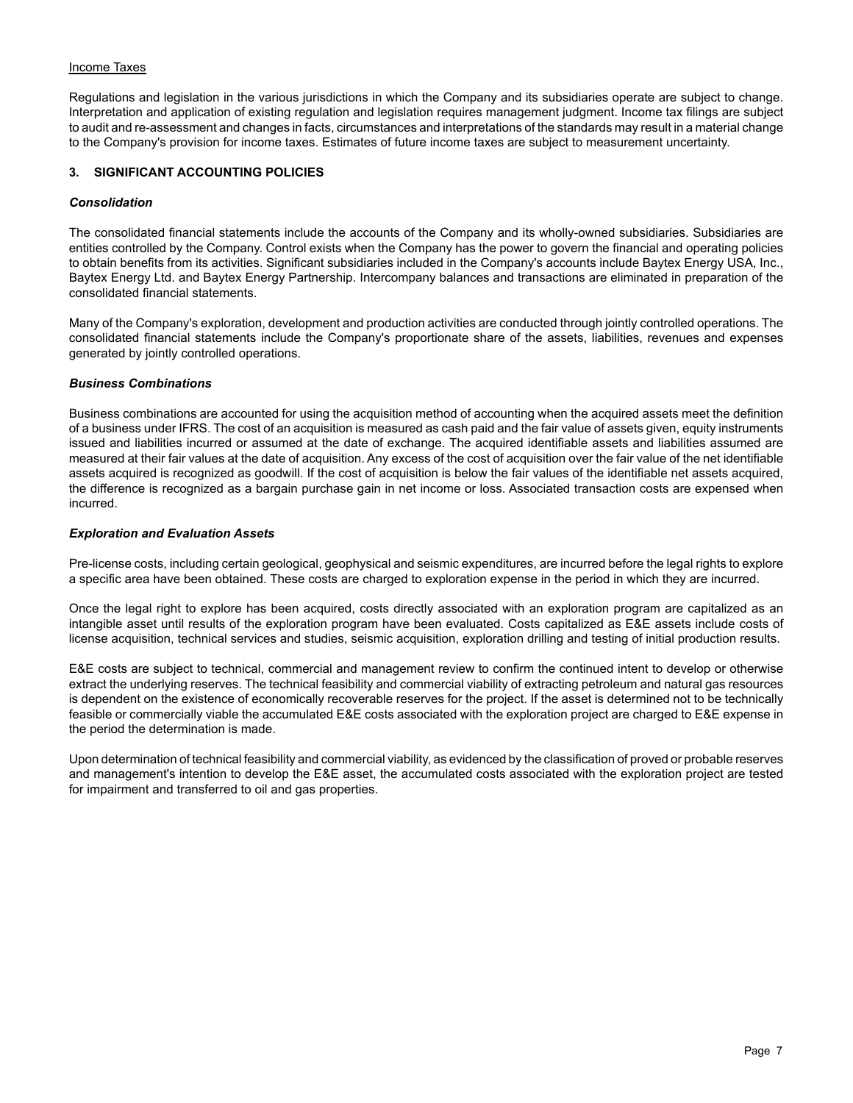## Income Taxes

Regulations and legislation in the various jurisdictions in which the Company and its subsidiaries operate are subject to change. Interpretation and application of existing regulation and legislation requires management judgment. Income tax filings are subject to audit and re-assessment and changes in facts, circumstances and interpretations of the standards may result in a material change to the Company's provision for income taxes. Estimates of future income taxes are subject to measurement uncertainty.

### **3. SIGNIFICANT ACCOUNTING POLICIES**

#### *Consolidation*

The consolidated financial statements include the accounts of the Company and its wholly-owned subsidiaries. Subsidiaries are entities controlled by the Company. Control exists when the Company has the power to govern the financial and operating policies to obtain benefits from its activities. Significant subsidiaries included in the Company's accounts include Baytex Energy USA, Inc., Baytex Energy Ltd. and Baytex Energy Partnership. Intercompany balances and transactions are eliminated in preparation of the consolidated financial statements.

Many of the Company's exploration, development and production activities are conducted through jointly controlled operations. The consolidated financial statements include the Company's proportionate share of the assets, liabilities, revenues and expenses generated by jointly controlled operations.

#### *Business Combinations*

Business combinations are accounted for using the acquisition method of accounting when the acquired assets meet the definition of a business under IFRS. The cost of an acquisition is measured as cash paid and the fair value of assets given, equity instruments issued and liabilities incurred or assumed at the date of exchange. The acquired identifiable assets and liabilities assumed are measured at their fair values at the date of acquisition. Any excess of the cost of acquisition over the fair value of the net identifiable assets acquired is recognized as goodwill. If the cost of acquisition is below the fair values of the identifiable net assets acquired, the difference is recognized as a bargain purchase gain in net income or loss. Associated transaction costs are expensed when incurred.

### *Exploration and Evaluation Assets*

Pre-license costs, including certain geological, geophysical and seismic expenditures, are incurred before the legal rights to explore a specific area have been obtained. These costs are charged to exploration expense in the period in which they are incurred.

Once the legal right to explore has been acquired, costs directly associated with an exploration program are capitalized as an intangible asset until results of the exploration program have been evaluated. Costs capitalized as E&E assets include costs of license acquisition, technical services and studies, seismic acquisition, exploration drilling and testing of initial production results.

E&E costs are subject to technical, commercial and management review to confirm the continued intent to develop or otherwise extract the underlying reserves. The technical feasibility and commercial viability of extracting petroleum and natural gas resources is dependent on the existence of economically recoverable reserves for the project. If the asset is determined not to be technically feasible or commercially viable the accumulated E&E costs associated with the exploration project are charged to E&E expense in the period the determination is made.

Upon determination of technical feasibility and commercial viability, as evidenced by the classification of proved or probable reserves and management's intention to develop the E&E asset, the accumulated costs associated with the exploration project are tested for impairment and transferred to oil and gas properties.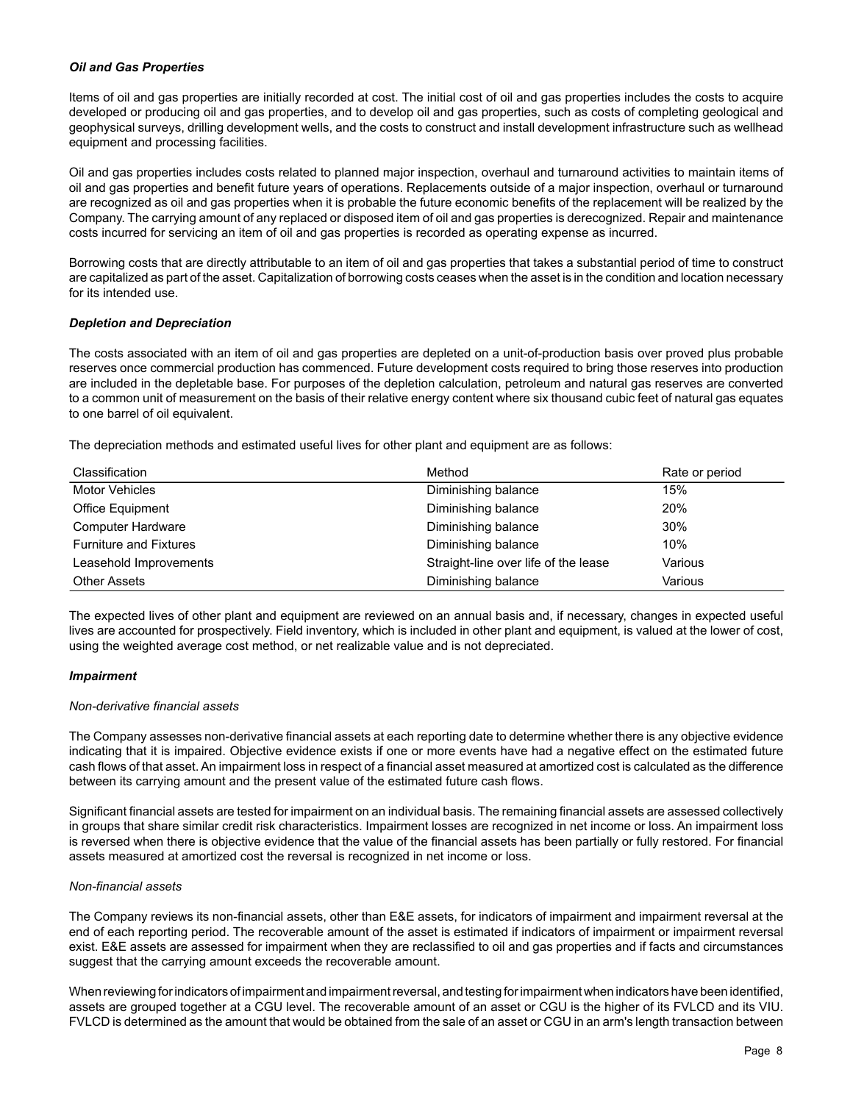#### *Oil and Gas Properties*

Items of oil and gas properties are initially recorded at cost. The initial cost of oil and gas properties includes the costs to acquire developed or producing oil and gas properties, and to develop oil and gas properties, such as costs of completing geological and geophysical surveys, drilling development wells, and the costs to construct and install development infrastructure such as wellhead equipment and processing facilities.

Oil and gas properties includes costs related to planned major inspection, overhaul and turnaround activities to maintain items of oil and gas properties and benefit future years of operations. Replacements outside of a major inspection, overhaul or turnaround are recognized as oil and gas properties when it is probable the future economic benefits of the replacement will be realized by the Company. The carrying amount of any replaced or disposed item of oil and gas properties is derecognized. Repair and maintenance costs incurred for servicing an item of oil and gas properties is recorded as operating expense as incurred.

Borrowing costs that are directly attributable to an item of oil and gas properties that takes a substantial period of time to construct are capitalized as part of the asset. Capitalization of borrowing costs ceases when the asset is in the condition and location necessary for its intended use.

#### *Depletion and Depreciation*

The costs associated with an item of oil and gas properties are depleted on a unit-of-production basis over proved plus probable reserves once commercial production has commenced. Future development costs required to bring those reserves into production are included in the depletable base. For purposes of the depletion calculation, petroleum and natural gas reserves are converted to a common unit of measurement on the basis of their relative energy content where six thousand cubic feet of natural gas equates to one barrel of oil equivalent.

The depreciation methods and estimated useful lives for other plant and equipment are as follows:

| Classification                | Method                               | Rate or period |
|-------------------------------|--------------------------------------|----------------|
| <b>Motor Vehicles</b>         | Diminishing balance                  | 15%            |
| Office Equipment              | Diminishing balance                  | 20%            |
| Computer Hardware             | Diminishing balance                  | 30%            |
| <b>Furniture and Fixtures</b> | Diminishing balance                  | 10%            |
| Leasehold Improvements        | Straight-line over life of the lease | Various        |
| <b>Other Assets</b>           | Diminishing balance                  | Various        |

The expected lives of other plant and equipment are reviewed on an annual basis and, if necessary, changes in expected useful lives are accounted for prospectively. Field inventory, which is included in other plant and equipment, is valued at the lower of cost, using the weighted average cost method, or net realizable value and is not depreciated.

#### *Impairment*

#### *Non-derivative financial assets*

The Company assesses non-derivative financial assets at each reporting date to determine whether there is any objective evidence indicating that it is impaired. Objective evidence exists if one or more events have had a negative effect on the estimated future cash flows of that asset. An impairment loss in respect of a financial asset measured at amortized cost is calculated as the difference between its carrying amount and the present value of the estimated future cash flows.

Significant financial assets are tested for impairment on an individual basis. The remaining financial assets are assessed collectively in groups that share similar credit risk characteristics. Impairment losses are recognized in net income or loss. An impairment loss is reversed when there is objective evidence that the value of the financial assets has been partially or fully restored. For financial assets measured at amortized cost the reversal is recognized in net income or loss.

#### *Non-financial assets*

The Company reviews its non-financial assets, other than E&E assets, for indicators of impairment and impairment reversal at the end of each reporting period. The recoverable amount of the asset is estimated if indicators of impairment or impairment reversal exist. E&E assets are assessed for impairment when they are reclassified to oil and gas properties and if facts and circumstances suggest that the carrying amount exceeds the recoverable amount.

When reviewing for indicators of impairment and impairment reversal, and testing for impairment when indicators have been identified, assets are grouped together at a CGU level. The recoverable amount of an asset or CGU is the higher of its FVLCD and its VIU. FVLCD is determined as the amount that would be obtained from the sale of an asset or CGU in an arm's length transaction between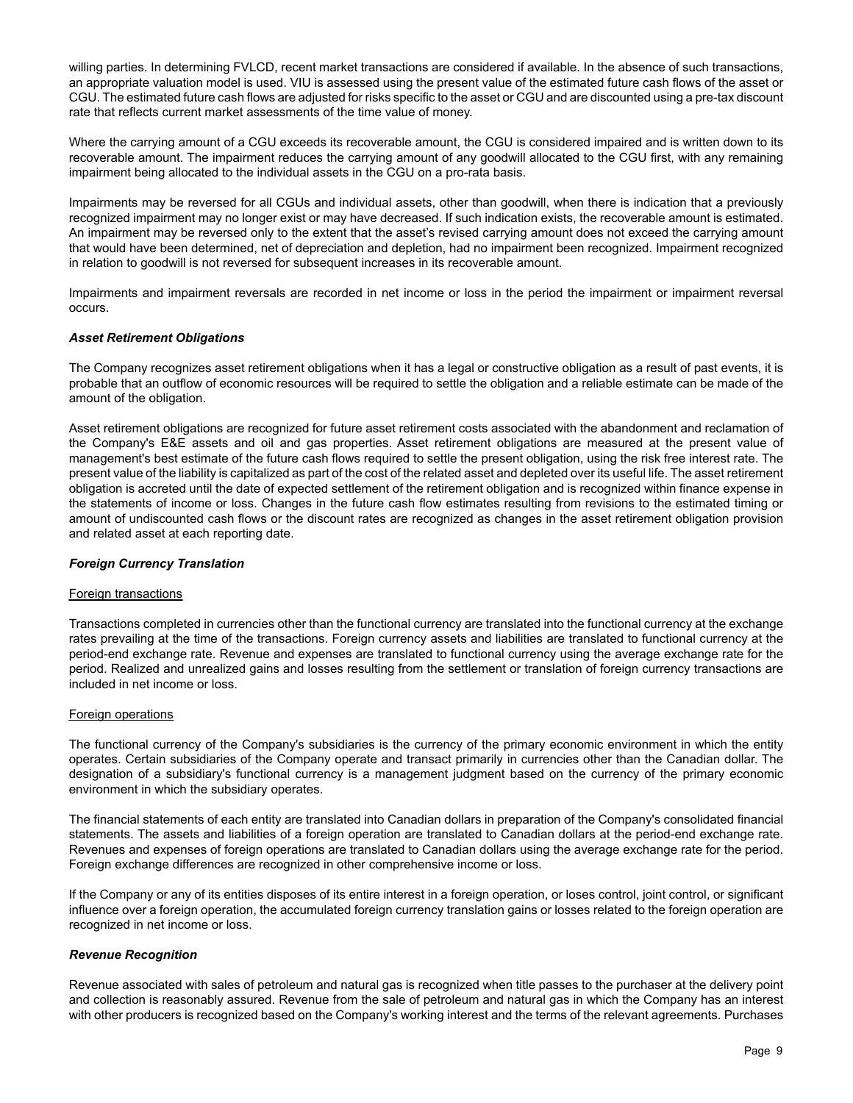willing parties. In determining FVLCD, recent market transactions are considered if available. In the absence of such transactions, an appropriate valuation model is used. VIU is assessed using the present value of the estimated future cash flows of the asset or CGU. The estimated future cash flows are adjusted for risks specific to the asset or CGU and are discounted using a pre-tax discount rate that reflects current market assessments of the time value of money.

Where the carrying amount of a CGU exceeds its recoverable amount, the CGU is considered impaired and is written down to its recoverable amount. The impairment reduces the carrying amount of any goodwill allocated to the CGU first, with any remaining impairment being allocated to the individual assets in the CGU on a pro-rata basis.

Impairments may be reversed for all CGUs and individual assets, other than goodwill, when there is indication that a previously recognized impairment may no longer exist or may have decreased. If such indication exists, the recoverable amount is estimated. An impairment may be reversed only to the extent that the asset's revised carrying amount does not exceed the carrying amount that would have been determined, net of depreciation and depletion, had no impairment been recognized. Impairment recognized in relation to goodwill is not reversed for subsequent increases in its recoverable amount.

Impairments and impairment reversals are recorded in net income or loss in the period the impairment or impairment reversal occurs.

### *Asset Retirement Obligations*

The Company recognizes asset retirement obligations when it has a legal or constructive obligation as a result of past events, it is probable that an outflow of economic resources will be required to settle the obligation and a reliable estimate can be made of the amount of the obligation.

Asset retirement obligations are recognized for future asset retirement costs associated with the abandonment and reclamation of the Company's E&E assets and oil and gas properties. Asset retirement obligations are measured at the present value of management's best estimate of the future cash flows required to settle the present obligation, using the risk free interest rate. The present value of the liability is capitalized as part of the cost of the related asset and depleted over its useful life. The asset retirement obligation is accreted until the date of expected settlement of the retirement obligation and is recognized within finance expense in the statements of income or loss. Changes in the future cash flow estimates resulting from revisions to the estimated timing or amount of undiscounted cash flows or the discount rates are recognized as changes in the asset retirement obligation provision and related asset at each reporting date.

## *Foreign Currency Translation*

#### Foreign transactions

Transactions completed in currencies other than the functional currency are translated into the functional currency at the exchange rates prevailing at the time of the transactions. Foreign currency assets and liabilities are translated to functional currency at the period-end exchange rate. Revenue and expenses are translated to functional currency using the average exchange rate for the period. Realized and unrealized gains and losses resulting from the settlement or translation of foreign currency transactions are included in net income or loss.

#### Foreign operations

The functional currency of the Company's subsidiaries is the currency of the primary economic environment in which the entity operates. Certain subsidiaries of the Company operate and transact primarily in currencies other than the Canadian dollar. The designation of a subsidiary's functional currency is a management judgment based on the currency of the primary economic environment in which the subsidiary operates.

The financial statements of each entity are translated into Canadian dollars in preparation of the Company's consolidated financial statements. The assets and liabilities of a foreign operation are translated to Canadian dollars at the period-end exchange rate. Revenues and expenses of foreign operations are translated to Canadian dollars using the average exchange rate for the period. Foreign exchange differences are recognized in other comprehensive income or loss.

If the Company or any of its entities disposes of its entire interest in a foreign operation, or loses control, joint control, or significant influence over a foreign operation, the accumulated foreign currency translation gains or losses related to the foreign operation are recognized in net income or loss.

#### *Revenue Recognition*

Revenue associated with sales of petroleum and natural gas is recognized when title passes to the purchaser at the delivery point and collection is reasonably assured. Revenue from the sale of petroleum and natural gas in which the Company has an interest with other producers is recognized based on the Company's working interest and the terms of the relevant agreements. Purchases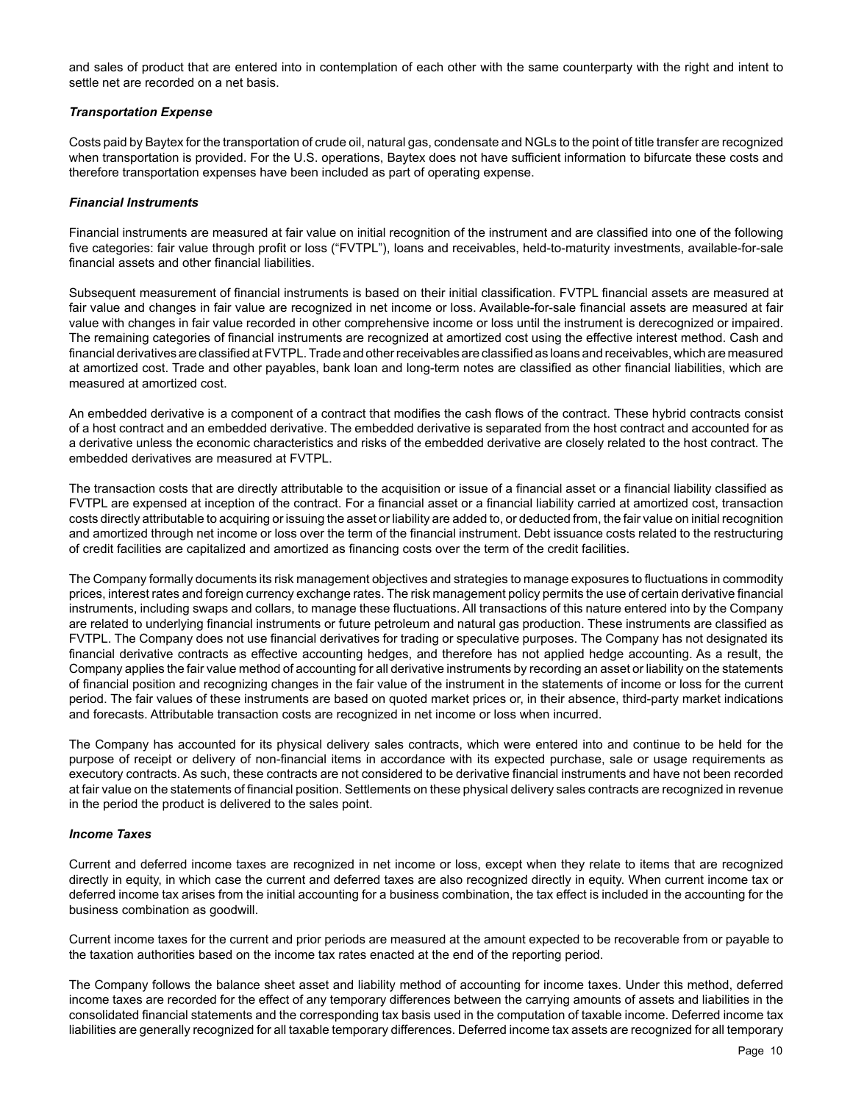and sales of product that are entered into in contemplation of each other with the same counterparty with the right and intent to settle net are recorded on a net basis.

### *Transportation Expense*

Costs paid by Baytex for the transportation of crude oil, natural gas, condensate and NGLs to the point of title transfer are recognized when transportation is provided. For the U.S. operations, Baytex does not have sufficient information to bifurcate these costs and therefore transportation expenses have been included as part of operating expense.

### *Financial Instruments*

Financial instruments are measured at fair value on initial recognition of the instrument and are classified into one of the following five categories: fair value through profit or loss ("FVTPL"), loans and receivables, held-to-maturity investments, available-for-sale financial assets and other financial liabilities.

Subsequent measurement of financial instruments is based on their initial classification. FVTPL financial assets are measured at fair value and changes in fair value are recognized in net income or loss. Available-for-sale financial assets are measured at fair value with changes in fair value recorded in other comprehensive income or loss until the instrument is derecognized or impaired. The remaining categories of financial instruments are recognized at amortized cost using the effective interest method. Cash and financial derivatives are classified at FVTPL. Trade and other receivables are classified as loans and receivables, which are measured at amortized cost. Trade and other payables, bank loan and long-term notes are classified as other financial liabilities, which are measured at amortized cost.

An embedded derivative is a component of a contract that modifies the cash flows of the contract. These hybrid contracts consist of a host contract and an embedded derivative. The embedded derivative is separated from the host contract and accounted for as a derivative unless the economic characteristics and risks of the embedded derivative are closely related to the host contract. The embedded derivatives are measured at FVTPL.

The transaction costs that are directly attributable to the acquisition or issue of a financial asset or a financial liability classified as FVTPL are expensed at inception of the contract. For a financial asset or a financial liability carried at amortized cost, transaction costs directly attributable to acquiring or issuing the asset or liability are added to, or deducted from, the fair value on initial recognition and amortized through net income or loss over the term of the financial instrument. Debt issuance costs related to the restructuring of credit facilities are capitalized and amortized as financing costs over the term of the credit facilities.

The Company formally documents its risk management objectives and strategies to manage exposures to fluctuations in commodity prices, interest rates and foreign currency exchange rates. The risk management policy permits the use of certain derivative financial instruments, including swaps and collars, to manage these fluctuations. All transactions of this nature entered into by the Company are related to underlying financial instruments or future petroleum and natural gas production. These instruments are classified as FVTPL. The Company does not use financial derivatives for trading or speculative purposes. The Company has not designated its financial derivative contracts as effective accounting hedges, and therefore has not applied hedge accounting. As a result, the Company applies the fair value method of accounting for all derivative instruments by recording an asset or liability on the statements of financial position and recognizing changes in the fair value of the instrument in the statements of income or loss for the current period. The fair values of these instruments are based on quoted market prices or, in their absence, third-party market indications and forecasts. Attributable transaction costs are recognized in net income or loss when incurred.

The Company has accounted for its physical delivery sales contracts, which were entered into and continue to be held for the purpose of receipt or delivery of non-financial items in accordance with its expected purchase, sale or usage requirements as executory contracts. As such, these contracts are not considered to be derivative financial instruments and have not been recorded at fair value on the statements of financial position. Settlements on these physical delivery sales contracts are recognized in revenue in the period the product is delivered to the sales point.

#### *Income Taxes*

Current and deferred income taxes are recognized in net income or loss, except when they relate to items that are recognized directly in equity, in which case the current and deferred taxes are also recognized directly in equity. When current income tax or deferred income tax arises from the initial accounting for a business combination, the tax effect is included in the accounting for the business combination as goodwill.

Current income taxes for the current and prior periods are measured at the amount expected to be recoverable from or payable to the taxation authorities based on the income tax rates enacted at the end of the reporting period.

The Company follows the balance sheet asset and liability method of accounting for income taxes. Under this method, deferred income taxes are recorded for the effect of any temporary differences between the carrying amounts of assets and liabilities in the consolidated financial statements and the corresponding tax basis used in the computation of taxable income. Deferred income tax liabilities are generally recognized for all taxable temporary differences. Deferred income tax assets are recognized for all temporary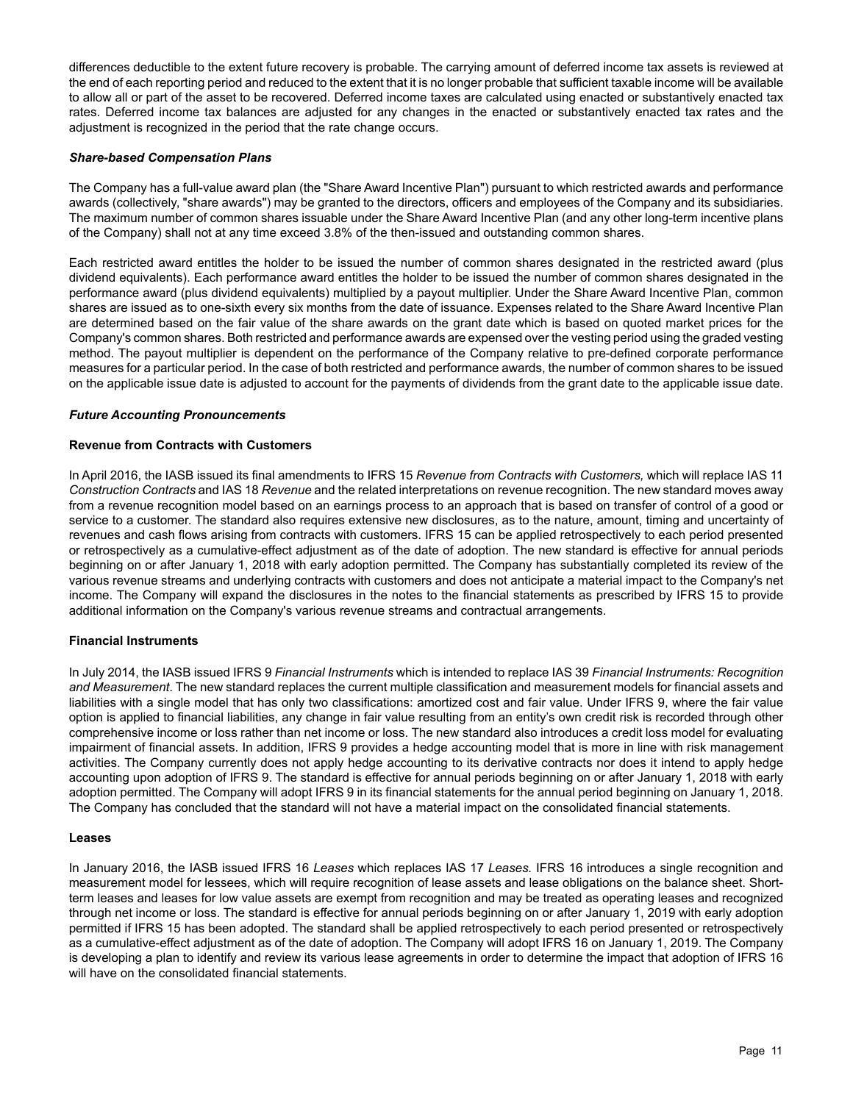differences deductible to the extent future recovery is probable. The carrying amount of deferred income tax assets is reviewed at the end of each reporting period and reduced to the extent that it is no longer probable that sufficient taxable income will be available to allow all or part of the asset to be recovered. Deferred income taxes are calculated using enacted or substantively enacted tax rates. Deferred income tax balances are adjusted for any changes in the enacted or substantively enacted tax rates and the adjustment is recognized in the period that the rate change occurs.

### *Share-based Compensation Plans*

The Company has a full-value award plan (the "Share Award Incentive Plan") pursuant to which restricted awards and performance awards (collectively, "share awards") may be granted to the directors, officers and employees of the Company and its subsidiaries. The maximum number of common shares issuable under the Share Award Incentive Plan (and any other long-term incentive plans of the Company) shall not at any time exceed 3.8% of the then-issued and outstanding common shares.

Each restricted award entitles the holder to be issued the number of common shares designated in the restricted award (plus dividend equivalents). Each performance award entitles the holder to be issued the number of common shares designated in the performance award (plus dividend equivalents) multiplied by a payout multiplier. Under the Share Award Incentive Plan, common shares are issued as to one-sixth every six months from the date of issuance. Expenses related to the Share Award Incentive Plan are determined based on the fair value of the share awards on the grant date which is based on quoted market prices for the Company's common shares. Both restricted and performance awards are expensed over the vesting period using the graded vesting method. The payout multiplier is dependent on the performance of the Company relative to pre-defined corporate performance measures for a particular period. In the case of both restricted and performance awards, the number of common shares to be issued on the applicable issue date is adjusted to account for the payments of dividends from the grant date to the applicable issue date.

#### *Future Accounting Pronouncements*

### **Revenue from Contracts with Customers**

In April 2016, the IASB issued its final amendments to IFRS 15 *Revenue from Contracts with Customers,* which will replace IAS 11 *Construction Contracts* and IAS 18 *Revenue* and the related interpretations on revenue recognition. The new standard moves away from a revenue recognition model based on an earnings process to an approach that is based on transfer of control of a good or service to a customer. The standard also requires extensive new disclosures, as to the nature, amount, timing and uncertainty of revenues and cash flows arising from contracts with customers. IFRS 15 can be applied retrospectively to each period presented or retrospectively as a cumulative-effect adjustment as of the date of adoption. The new standard is effective for annual periods beginning on or after January 1, 2018 with early adoption permitted. The Company has substantially completed its review of the various revenue streams and underlying contracts with customers and does not anticipate a material impact to the Company's net income. The Company will expand the disclosures in the notes to the financial statements as prescribed by IFRS 15 to provide additional information on the Company's various revenue streams and contractual arrangements.

#### **Financial Instruments**

In July 2014, the IASB issued IFRS 9 *Financial Instruments* which is intended to replace IAS 39 *Financial Instruments: Recognition and Measurement*. The new standard replaces the current multiple classification and measurement models for financial assets and liabilities with a single model that has only two classifications: amortized cost and fair value. Under IFRS 9, where the fair value option is applied to financial liabilities, any change in fair value resulting from an entity's own credit risk is recorded through other comprehensive income or loss rather than net income or loss. The new standard also introduces a credit loss model for evaluating impairment of financial assets. In addition, IFRS 9 provides a hedge accounting model that is more in line with risk management activities. The Company currently does not apply hedge accounting to its derivative contracts nor does it intend to apply hedge accounting upon adoption of IFRS 9. The standard is effective for annual periods beginning on or after January 1, 2018 with early adoption permitted. The Company will adopt IFRS 9 in its financial statements for the annual period beginning on January 1, 2018. The Company has concluded that the standard will not have a material impact on the consolidated financial statements.

#### **Leases**

In January 2016, the IASB issued IFRS 16 *Leases* which replaces IAS 17 *Leases.* IFRS 16 introduces a single recognition and measurement model for lessees, which will require recognition of lease assets and lease obligations on the balance sheet. Shortterm leases and leases for low value assets are exempt from recognition and may be treated as operating leases and recognized through net income or loss. The standard is effective for annual periods beginning on or after January 1, 2019 with early adoption permitted if IFRS 15 has been adopted. The standard shall be applied retrospectively to each period presented or retrospectively as a cumulative-effect adjustment as of the date of adoption. The Company will adopt IFRS 16 on January 1, 2019. The Company is developing a plan to identify and review its various lease agreements in order to determine the impact that adoption of IFRS 16 will have on the consolidated financial statements.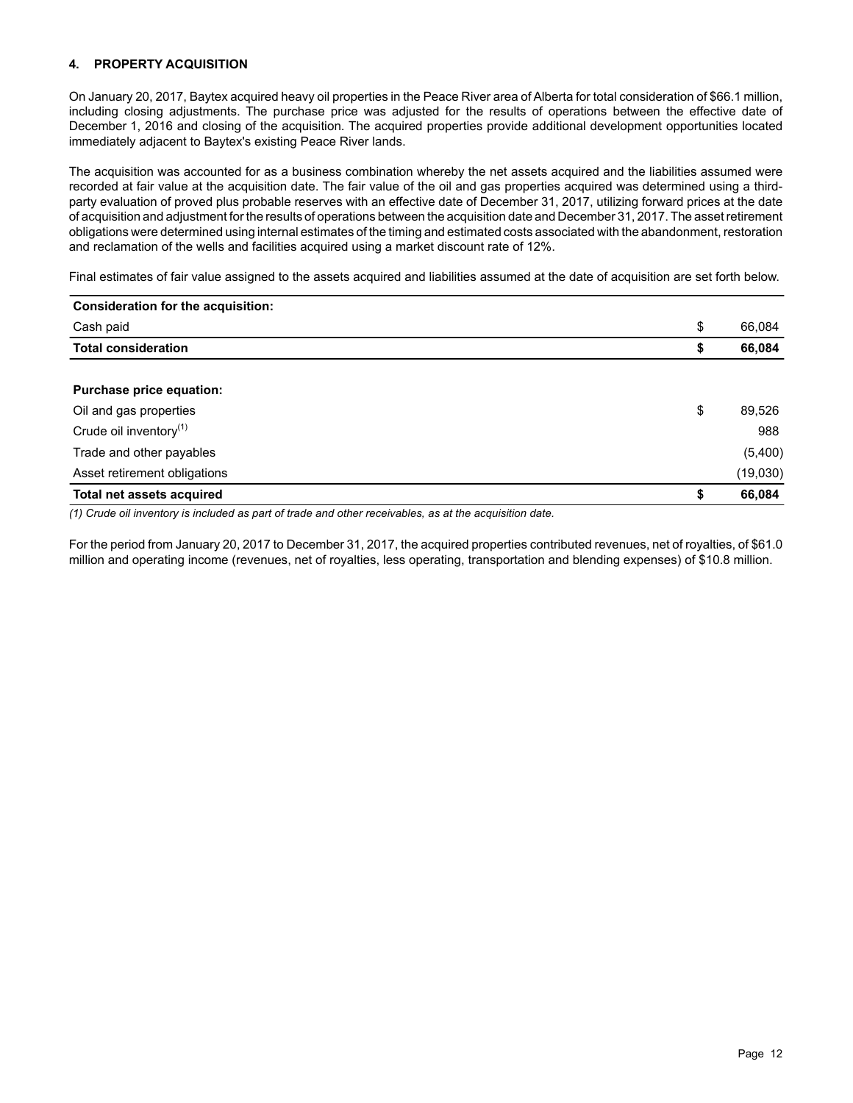# **4. PROPERTY ACQUISITION**

On January 20, 2017, Baytex acquired heavy oil properties in the Peace River area of Alberta for total consideration of \$66.1 million, including closing adjustments. The purchase price was adjusted for the results of operations between the effective date of December 1, 2016 and closing of the acquisition. The acquired properties provide additional development opportunities located immediately adjacent to Baytex's existing Peace River lands.

The acquisition was accounted for as a business combination whereby the net assets acquired and the liabilities assumed were recorded at fair value at the acquisition date. The fair value of the oil and gas properties acquired was determined using a thirdparty evaluation of proved plus probable reserves with an effective date of December 31, 2017, utilizing forward prices at the date of acquisition and adjustment for the results of operations between the acquisition date and December 31, 2017. The asset retirement obligations were determined using internal estimates of the timing and estimated costs associated with the abandonment, restoration and reclamation of the wells and facilities acquired using a market discount rate of 12%.

Final estimates of fair value assigned to the assets acquired and liabilities assumed at the date of acquisition are set forth below.

| Consideration for the acquisition: |    |          |
|------------------------------------|----|----------|
| Cash paid                          | \$ | 66,084   |
| <b>Total consideration</b>         | S  | 66,084   |
|                                    |    |          |
| <b>Purchase price equation:</b>    |    |          |
| Oil and gas properties             | \$ | 89,526   |
| Crude oil inventory <sup>(1)</sup> |    | 988      |
| Trade and other payables           |    | (5,400)  |
| Asset retirement obligations       |    | (19,030) |
| Total net assets acquired          | \$ | 66,084   |

*(1) Crude oil inventory is included as part of trade and other receivables, as at the acquisition date.*

For the period from January 20, 2017 to December 31, 2017, the acquired properties contributed revenues, net of royalties, of \$61.0 million and operating income (revenues, net of royalties, less operating, transportation and blending expenses) of \$10.8 million.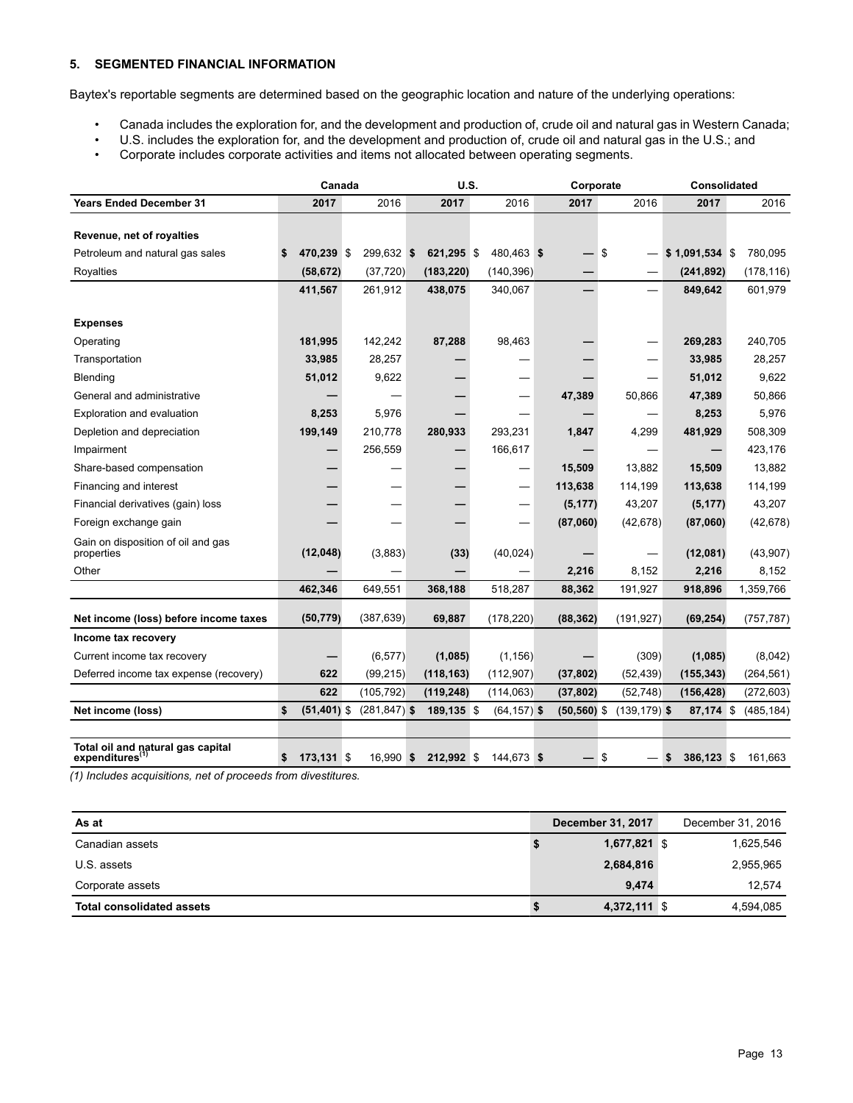# **5. SEGMENTED FINANCIAL INFORMATION**

Baytex's reportable segments are determined based on the geographic location and nature of the underlying operations:

- Canada includes the exploration for, and the development and production of, crude oil and natural gas in Western Canada;
- U.S. includes the exploration for, and the development and production of, crude oil and natural gas in the U.S.; and
- Corporate includes corporate activities and items not allocated between operating segments.

|                                                                                                                                     | Canada               |                 | U.S.       |  |                |  | Corporate      |    |                          | Consolidated |                 |  |            |
|-------------------------------------------------------------------------------------------------------------------------------------|----------------------|-----------------|------------|--|----------------|--|----------------|----|--------------------------|--------------|-----------------|--|------------|
| <b>Years Ended December 31</b>                                                                                                      | 2017                 | 2016            | 2017       |  | 2016           |  | 2017           |    | 2016                     |              | 2017            |  | 2016       |
|                                                                                                                                     |                      |                 |            |  |                |  |                |    |                          |              |                 |  |            |
| Revenue, net of royalties                                                                                                           |                      |                 |            |  |                |  |                |    |                          |              |                 |  |            |
| Petroleum and natural gas sales                                                                                                     | \$<br>470,239 \$     | 299,632 \$      | 621,295 \$ |  | 480,463 \$     |  |                | \$ |                          |              | $$1,091,534$ \$ |  | 780,095    |
| Royalties                                                                                                                           | (58, 672)            | (37, 720)       | (183, 220) |  | (140, 396)     |  |                |    |                          |              | (241, 892)      |  | (178, 116) |
|                                                                                                                                     | 411,567              | 261,912         | 438,075    |  | 340,067        |  |                |    | $\overline{\phantom{0}}$ |              | 849,642         |  | 601,979    |
| Expenses                                                                                                                            |                      |                 |            |  |                |  |                |    |                          |              |                 |  |            |
| Operating                                                                                                                           | 181,995              | 142,242         | 87,288     |  | 98,463         |  |                |    |                          |              | 269,283         |  | 240,705    |
| Transportation                                                                                                                      | 33,985               | 28,257          |            |  |                |  |                |    |                          |              | 33,985          |  | 28,257     |
| Blending                                                                                                                            | 51,012               | 9,622           |            |  |                |  |                |    |                          |              | 51,012          |  | 9,622      |
| General and administrative                                                                                                          |                      |                 |            |  |                |  | 47,389         |    | 50,866                   |              | 47,389          |  | 50,866     |
| Exploration and evaluation                                                                                                          | 8,253                | 5,976           |            |  |                |  |                |    |                          |              | 8,253           |  | 5,976      |
| Depletion and depreciation                                                                                                          | 199,149              | 210.778         | 280,933    |  | 293,231        |  | 1,847          |    | 4,299                    |              | 481,929         |  | 508,309    |
| Impairment                                                                                                                          |                      | 256,559         |            |  | 166,617        |  |                |    |                          |              |                 |  | 423,176    |
| Share-based compensation                                                                                                            |                      |                 |            |  |                |  | 15,509         |    | 13,882                   |              | 15,509          |  | 13,882     |
| Financing and interest                                                                                                              |                      |                 |            |  |                |  | 113,638        |    | 114,199                  |              | 113,638         |  | 114,199    |
| Financial derivatives (gain) loss                                                                                                   |                      |                 |            |  |                |  | (5, 177)       |    | 43,207                   |              | (5, 177)        |  | 43,207     |
| Foreign exchange gain                                                                                                               |                      |                 |            |  |                |  | (87,060)       |    | (42, 678)                |              | (87,060)        |  | (42, 678)  |
| Gain on disposition of oil and gas<br>properties                                                                                    | (12,048)             | (3,883)         | (33)       |  | (40, 024)      |  |                |    | —                        |              | (12,081)        |  | (43,907)   |
| Other                                                                                                                               |                      |                 |            |  |                |  | 2,216          |    | 8,152                    |              | 2,216           |  | 8,152      |
|                                                                                                                                     | 462,346              | 649,551         | 368,188    |  | 518,287        |  | 88,362         |    | 191,927                  |              | 918,896         |  | 1,359,766  |
| Net income (loss) before income taxes                                                                                               | (50, 779)            | (387, 639)      | 69,887     |  | (178, 220)     |  | (88, 362)      |    | (191, 927)               |              | (69, 254)       |  | (757, 787) |
| Income tax recovery                                                                                                                 |                      |                 |            |  |                |  |                |    |                          |              |                 |  |            |
| Current income tax recovery                                                                                                         |                      | (6, 577)        | (1,085)    |  | (1, 156)       |  |                |    | (309)                    |              | (1,085)         |  | (8,042)    |
| Deferred income tax expense (recovery)                                                                                              | 622                  | (99, 215)       | (118, 163) |  | (112, 907)     |  | (37, 802)      |    | (52, 439)                |              | (155, 343)      |  | (264, 561) |
|                                                                                                                                     | 622                  | (105, 792)      | (119, 248) |  | (114, 063)     |  | (37, 802)      |    | (52, 748)                |              | (156, 428)      |  | (272, 603) |
| Net income (loss)                                                                                                                   | \$<br>$(51, 401)$ \$ | $(281, 847)$ \$ | 189,135 \$ |  | $(64, 157)$ \$ |  | $(50, 560)$ \$ |    | $(139, 179)$ \$          |              | 87,174 \$       |  | (485, 184) |
|                                                                                                                                     |                      |                 |            |  |                |  |                |    |                          |              |                 |  |            |
| Total oil and natural gas capital<br>expenditures <sup>(1)</sup><br>$(1)$ lucked as a considiance not of proceeds from dissolutives | \$<br>173,131 \$     | 16,990 \$       | 212,992 \$ |  | 144,673 \$     |  |                | \$ |                          | \$           | 386,123 \$      |  | 161,663    |

*(1) Includes acquisitions, net of proceeds from divestitures.* 

| As at                            | December 31, 2017 | December 31, 2016 |
|----------------------------------|-------------------|-------------------|
| Canadian assets                  | 1,677,821 \$      | 1,625,546         |
| U.S. assets                      | 2,684,816         | 2,955,965         |
| Corporate assets                 | 9,474             | 12.574            |
| <b>Total consolidated assets</b> | 4,372,111 \$      | 4,594,085         |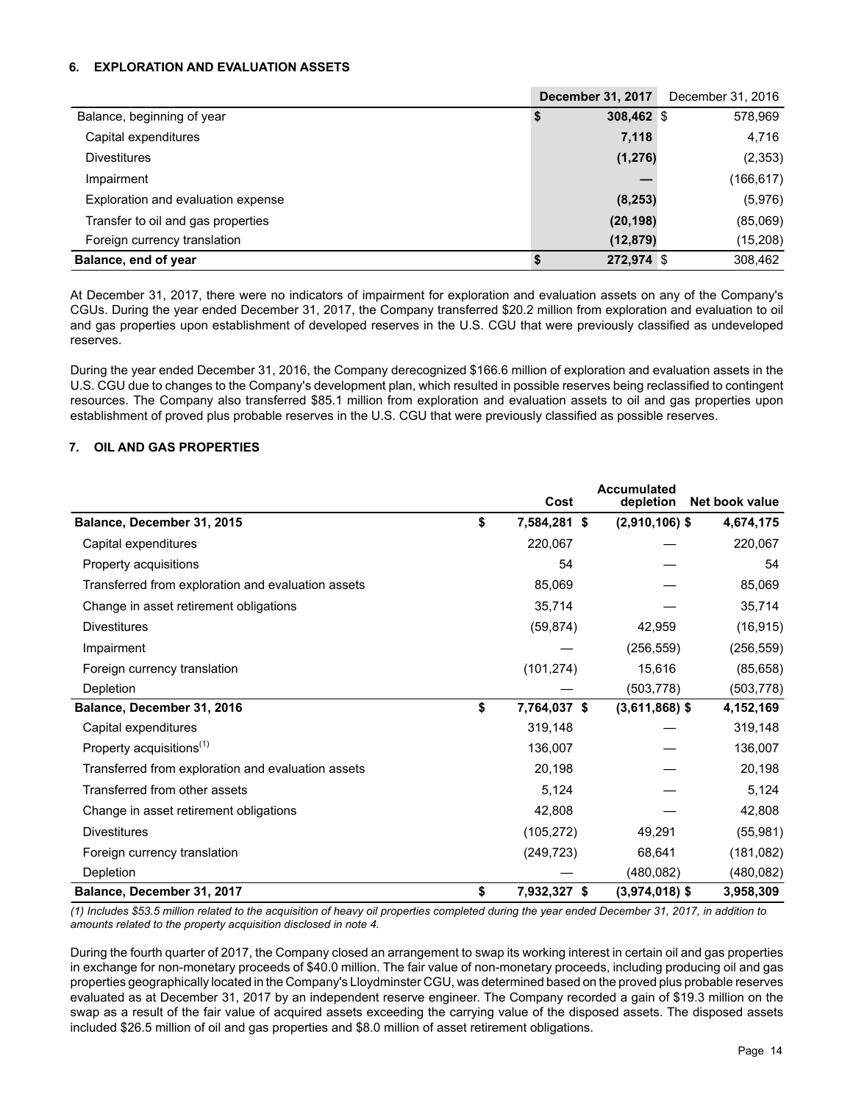### **6. EXPLORATION AND EVALUATION ASSETS**

|                                    | <b>December 31, 2017</b> | December 31, 2016 |
|------------------------------------|--------------------------|-------------------|
| Balance, beginning of year         | $308,462$ \$             | 578,969           |
| Capital expenditures               | 7,118                    | 4,716             |
| <b>Divestitures</b>                | (1, 276)                 | (2, 353)          |
| Impairment                         |                          | (166, 617)        |
| Exploration and evaluation expense | (8, 253)                 | (5,976)           |
| Transfer to oil and gas properties | (20, 198)                | (85,069)          |
| Foreign currency translation       | (12, 879)                | (15,208)          |
| Balance, end of year               | $272,974$ \$             | 308.462           |

At December 31, 2017, there were no indicators of impairment for exploration and evaluation assets on any of the Company's CGUs. During the year ended December 31, 2017, the Company transferred \$20.2 million from exploration and evaluation to oil and gas properties upon establishment of developed reserves in the U.S. CGU that were previously classified as undeveloped reserves.

During the year ended December 31, 2016, the Company derecognized \$166.6 million of exploration and evaluation assets in the U.S. CGU due to changes to the Company's development plan, which resulted in possible reserves being reclassified to contingent resources. The Company also transferred \$85.1 million from exploration and evaluation assets to oil and gas properties upon establishment of proved plus probable reserves in the U.S. CGU that were previously classified as possible reserves.

## **7. OIL AND GAS PROPERTIES**

|                                                    | Cost               | <b>Accumulated</b><br>depletion | Net book value |
|----------------------------------------------------|--------------------|---------------------------------|----------------|
| Balance, December 31, 2015                         | \$<br>7,584,281 \$ | $(2,910,106)$ \$                | 4,674,175      |
| Capital expenditures                               | 220,067            |                                 | 220,067        |
| Property acquisitions                              | 54                 |                                 | 54             |
| Transferred from exploration and evaluation assets | 85,069             |                                 | 85,069         |
| Change in asset retirement obligations             | 35,714             |                                 | 35,714         |
| <b>Divestitures</b>                                | (59, 874)          | 42,959                          | (16, 915)      |
| Impairment                                         |                    | (256, 559)                      | (256, 559)     |
| Foreign currency translation                       | (101, 274)         | 15,616                          | (85, 658)      |
| Depletion                                          |                    | (503, 778)                      | (503, 778)     |
| Balance, December 31, 2016                         | \$<br>7,764,037 \$ | $(3,611,868)$ \$                | 4,152,169      |
| Capital expenditures                               | 319,148            |                                 | 319,148        |
| Property acquisitions <sup>(1)</sup>               | 136,007            |                                 | 136,007        |
| Transferred from exploration and evaluation assets | 20,198             |                                 | 20,198         |
| Transferred from other assets                      | 5,124              |                                 | 5,124          |
| Change in asset retirement obligations             | 42,808             |                                 | 42,808         |
| <b>Divestitures</b>                                | (105, 272)         | 49,291                          | (55,981)       |
| Foreign currency translation                       | (249, 723)         | 68,641                          | (181,082)      |
| Depletion                                          |                    | (480, 082)                      | (480, 082)     |
| Balance, December 31, 2017                         | \$<br>7,932,327 \$ | $(3,974,018)$ \$                | 3,958,309      |

*(1) Includes \$53.5 million related to the acquisition of heavy oil properties completed during the year ended December 31, 2017, in addition to amounts related to the property acquisition disclosed in note 4.*

During the fourth quarter of 2017, the Company closed an arrangement to swap its working interest in certain oil and gas properties in exchange for non-monetary proceeds of \$40.0 million. The fair value of non-monetary proceeds, including producing oil and gas properties geographically located in the Company's Lloydminster CGU, was determined based on the proved plus probable reserves evaluated as at December 31, 2017 by an independent reserve engineer. The Company recorded a gain of \$19.3 million on the swap as a result of the fair value of acquired assets exceeding the carrying value of the disposed assets. The disposed assets included \$26.5 million of oil and gas properties and \$8.0 million of asset retirement obligations.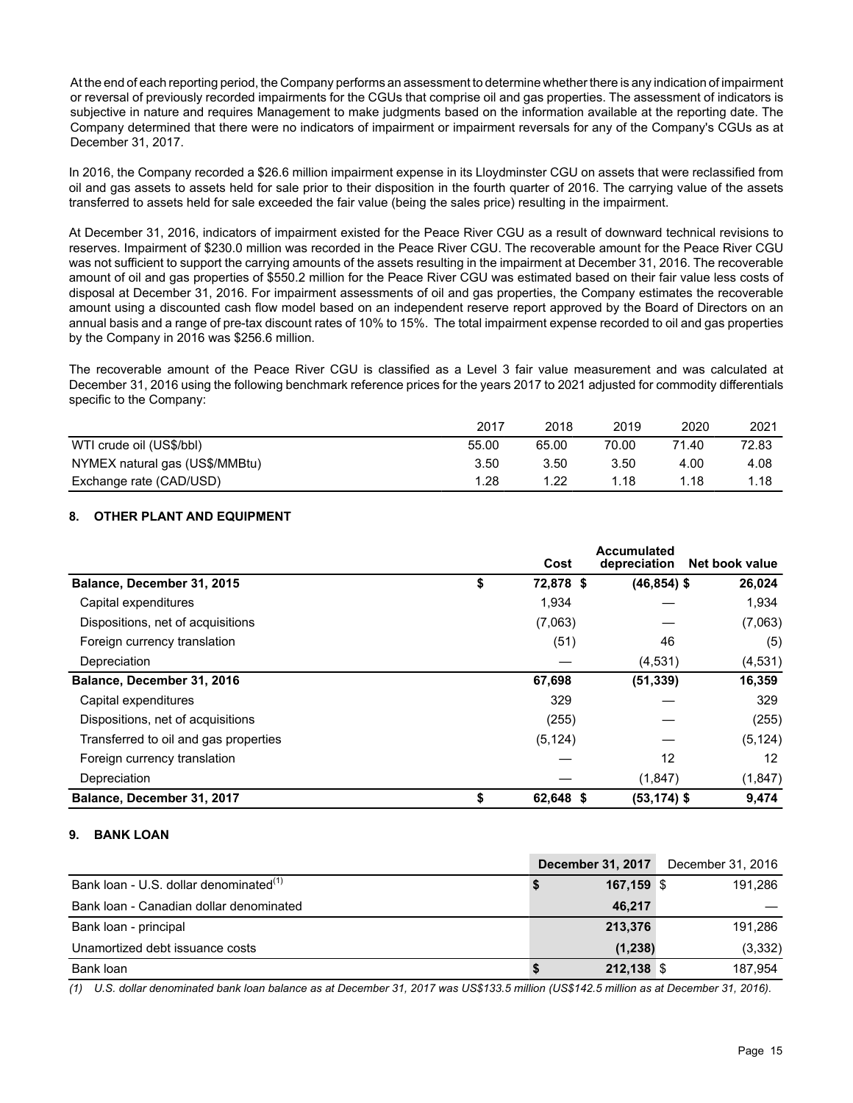At the end of each reporting period, the Company performs an assessment to determine whether there is any indication of impairment or reversal of previously recorded impairments for the CGUs that comprise oil and gas properties. The assessment of indicators is subjective in nature and requires Management to make judgments based on the information available at the reporting date. The Company determined that there were no indicators of impairment or impairment reversals for any of the Company's CGUs as at December 31, 2017.

In 2016, the Company recorded a \$26.6 million impairment expense in its Lloydminster CGU on assets that were reclassified from oil and gas assets to assets held for sale prior to their disposition in the fourth quarter of 2016. The carrying value of the assets transferred to assets held for sale exceeded the fair value (being the sales price) resulting in the impairment.

At December 31, 2016, indicators of impairment existed for the Peace River CGU as a result of downward technical revisions to reserves. Impairment of \$230.0 million was recorded in the Peace River CGU. The recoverable amount for the Peace River CGU was not sufficient to support the carrying amounts of the assets resulting in the impairment at December 31, 2016. The recoverable amount of oil and gas properties of \$550.2 million for the Peace River CGU was estimated based on their fair value less costs of disposal at December 31, 2016. For impairment assessments of oil and gas properties, the Company estimates the recoverable amount using a discounted cash flow model based on an independent reserve report approved by the Board of Directors on an annual basis and a range of pre-tax discount rates of 10% to 15%. The total impairment expense recorded to oil and gas properties by the Company in 2016 was \$256.6 million.

The recoverable amount of the Peace River CGU is classified as a Level 3 fair value measurement and was calculated at December 31, 2016 using the following benchmark reference prices for the years 2017 to 2021 adjusted for commodity differentials specific to the Company:

|                                | 2017  | 2018  | 2019  | 2020  | 2021  |
|--------------------------------|-------|-------|-------|-------|-------|
| WTI crude oil (US\$/bbl)       | 55.00 | 65.00 | 70.00 | 71.40 | 72.83 |
| NYMEX natural gas (US\$/MMBtu) | 3.50  | 3.50  | 3.50  | 4.00  | 4.08  |
| Exchange rate (CAD/USD)        | l.28  | 1.22  | 1.18  | 1.18  | 1.18  |

## **8. OTHER PLANT AND EQUIPMENT**

|                                       | Cost            | <b>Accumulated</b><br>depreciation | Net book value    |
|---------------------------------------|-----------------|------------------------------------|-------------------|
| Balance, December 31, 2015            | \$<br>72,878 \$ | $(46, 854)$ \$                     | 26,024            |
| Capital expenditures                  | 1,934           |                                    | 1,934             |
| Dispositions, net of acquisitions     | (7,063)         |                                    | (7,063)           |
| Foreign currency translation          | (51)            | 46                                 | (5)               |
| Depreciation                          |                 | (4,531)                            | (4,531)           |
| Balance, December 31, 2016            | 67,698          | (51, 339)                          | 16,359            |
| Capital expenditures                  | 329             |                                    | 329               |
| Dispositions, net of acquisitions     | (255)           |                                    | (255)             |
| Transferred to oil and gas properties | (5, 124)        |                                    | (5, 124)          |
| Foreign currency translation          |                 | 12                                 | $12 \overline{ }$ |
| Depreciation                          |                 | (1, 847)                           | (1,847)           |
| Balance, December 31, 2017            | 62,648 \$       | $(53, 174)$ \$                     | 9,474             |

## **9. BANK LOAN**

|                                                    | <b>December 31, 2017</b> | December 31, 2016 |
|----------------------------------------------------|--------------------------|-------------------|
| Bank loan - U.S. dollar denominated <sup>(1)</sup> | $167,159$ \$             | 191.286           |
| Bank loan - Canadian dollar denominated            | 46.217                   |                   |
| Bank loan - principal                              | 213,376                  | 191.286           |
| Unamortized debt issuance costs                    | (1,238)                  | (3,332)           |
| Bank loan                                          | 212,138 \$               | 187.954           |

*(1) U.S. dollar denominated bank loan balance as at December 31, 2017 was US\$133.5 million (US\$142.5 million as at December 31, 2016).*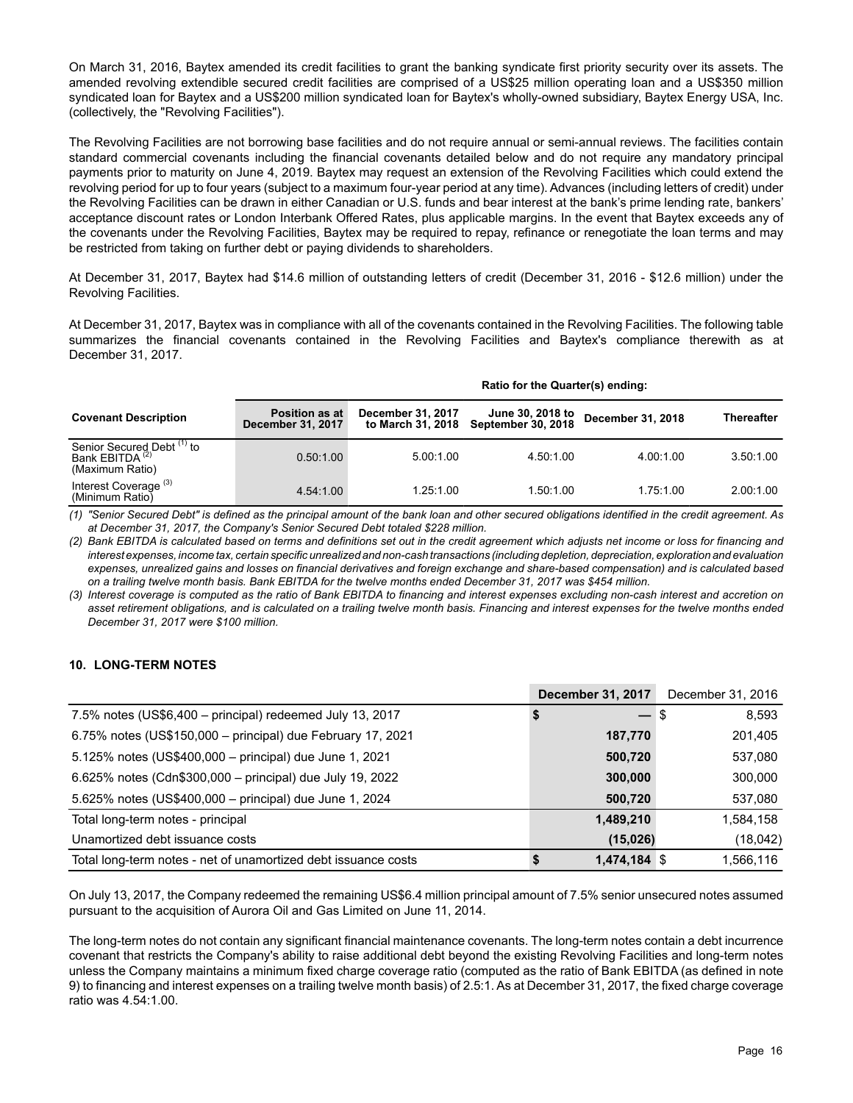On March 31, 2016, Baytex amended its credit facilities to grant the banking syndicate first priority security over its assets. The amended revolving extendible secured credit facilities are comprised of a US\$25 million operating loan and a US\$350 million syndicated loan for Baytex and a US\$200 million syndicated loan for Baytex's wholly-owned subsidiary, Baytex Energy USA, Inc. (collectively, the "Revolving Facilities").

The Revolving Facilities are not borrowing base facilities and do not require annual or semi-annual reviews. The facilities contain standard commercial covenants including the financial covenants detailed below and do not require any mandatory principal payments prior to maturity on June 4, 2019. Baytex may request an extension of the Revolving Facilities which could extend the revolving period for up to four years (subject to a maximum four-year period at any time). Advances (including letters of credit) under the Revolving Facilities can be drawn in either Canadian or U.S. funds and bear interest at the bank's prime lending rate, bankers' acceptance discount rates or London Interbank Offered Rates, plus applicable margins. In the event that Baytex exceeds any of the covenants under the Revolving Facilities, Baytex may be required to repay, refinance or renegotiate the loan terms and may be restricted from taking on further debt or paying dividends to shareholders.

At December 31, 2017, Baytex had \$14.6 million of outstanding letters of credit (December 31, 2016 - \$12.6 million) under the Revolving Facilities.

At December 31, 2017, Baytex was in compliance with all of the covenants contained in the Revolving Facilities. The following table summarizes the financial covenants contained in the Revolving Facilities and Baytex's compliance therewith as at December 31, 2017.

|                                                                             | Ratio for the Quarter(s) ending:           |                                        |                                        |                   |                   |  |  |  |  |
|-----------------------------------------------------------------------------|--------------------------------------------|----------------------------------------|----------------------------------------|-------------------|-------------------|--|--|--|--|
| <b>Covenant Description</b>                                                 | <b>Position as at</b><br>December 31, 2017 | December 31, 2017<br>to March 31, 2018 | June 30, 2018 to<br>September 30, 2018 | December 31, 2018 | <b>Thereafter</b> |  |  |  |  |
| Senior Secured Debt (1) to<br>Bank EBITDA <sup>(2)</sup><br>(Maximum Ratio) | 0.50:1.00                                  | 5.00:1.00                              | 4.50:1.00                              | 4.00:1.00         | 3.50:1.00         |  |  |  |  |
| Interest Coverage <sup>(3)</sup><br>(Minimum Ratio)                         | 4.54:1.00                                  | 1.25:1.00                              | 1.50:1.00                              | 1.75:1.00         | 2.00:1.00         |  |  |  |  |

*(1) "Senior Secured Debt" is defined as the principal amount of the bank loan and other secured obligations identified in the credit agreement. As at December 31, 2017, the Company's Senior Secured Debt totaled \$228 million.*

*(2) Bank EBITDA is calculated based on terms and definitions set out in the credit agreement which adjusts net income or loss for financing and interest expenses, income tax, certain specific unrealized and non-cash transactions (including depletion, depreciation, exploration and evaluation expenses, unrealized gains and losses on financial derivatives and foreign exchange and share-based compensation) and is calculated based on a trailing twelve month basis. Bank EBITDA for the twelve months ended December 31, 2017 was \$454 million.*

*(3) Interest coverage is computed as the ratio of Bank EBITDA to financing and interest expenses excluding non-cash interest and accretion on asset retirement obligations, and is calculated on a trailing twelve month basis. Financing and interest expenses for the twelve months ended December 31, 2017 were \$100 million.* 

## **10. LONG-TERM NOTES**

|                                                                | <b>December 31, 2017</b> | December 31, 2016 |
|----------------------------------------------------------------|--------------------------|-------------------|
| 7.5% notes (US\$6,400 – principal) redeemed July 13, 2017      | \$                       | 8,593<br>$-$ \$   |
| 6.75% notes (US\$150,000 - principal) due February 17, 2021    | 187,770                  | 201,405           |
| 5.125% notes (US\$400,000 - principal) due June 1, 2021        | 500,720                  | 537,080           |
| 6.625% notes (Cdn\$300,000 – principal) due July 19, 2022      | 300,000                  | 300,000           |
| 5.625% notes (US\$400,000 - principal) due June 1, 2024        | 500,720                  | 537,080           |
| Total long-term notes - principal                              | 1,489,210                | 1,584,158         |
| Unamortized debt issuance costs                                | (15,026)                 | (18,042)          |
| Total long-term notes - net of unamortized debt issuance costs | 1,474,184 \$             | 1,566,116         |

On July 13, 2017, the Company redeemed the remaining US\$6.4 million principal amount of 7.5% senior unsecured notes assumed pursuant to the acquisition of Aurora Oil and Gas Limited on June 11, 2014.

The long-term notes do not contain any significant financial maintenance covenants. The long-term notes contain a debt incurrence covenant that restricts the Company's ability to raise additional debt beyond the existing Revolving Facilities and long-term notes unless the Company maintains a minimum fixed charge coverage ratio (computed as the ratio of Bank EBITDA (as defined in note 9) to financing and interest expenses on a trailing twelve month basis) of 2.5:1. As at December 31, 2017, the fixed charge coverage ratio was 4.54:1.00.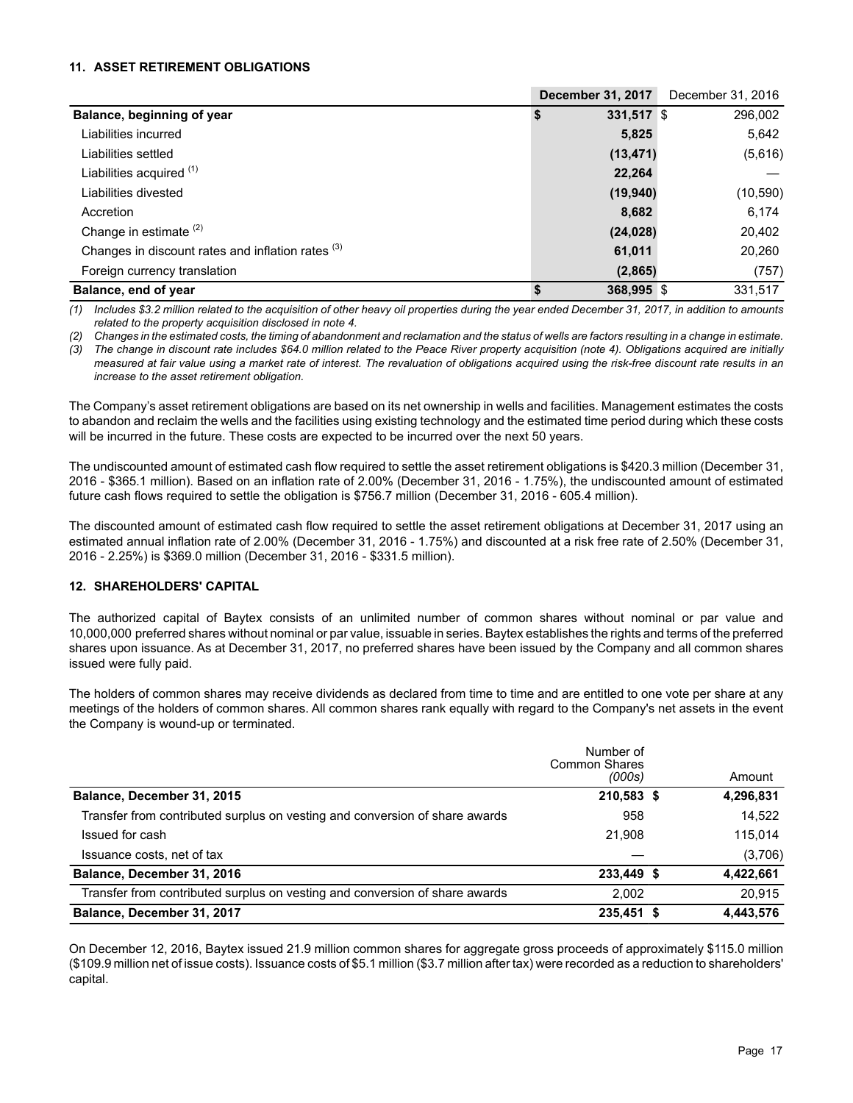### **11. ASSET RETIREMENT OBLIGATIONS**

|                                                   | December 31, 2017  | December 31, 2016 |
|---------------------------------------------------|--------------------|-------------------|
| Balance, beginning of year                        | $331,517$ \$<br>\$ | 296,002           |
| Liabilities incurred                              | 5,825              | 5,642             |
| Liabilities settled                               | (13, 471)          | (5,616)           |
| Liabilities acquired (1)                          | 22,264             |                   |
| Liabilities divested                              | (19, 940)          | (10, 590)         |
| Accretion                                         | 8,682              | 6,174             |
| Change in estimate $(2)$                          | (24, 028)          | 20,402            |
| Changes in discount rates and inflation rates (3) | 61,011             | 20,260            |
| Foreign currency translation                      | (2,865)            | (757)             |
| Balance, end of year                              | $368,995$ \$       | 331.517           |

*(1) Includes \$3.2 million related to the acquisition of other heavy oil properties during the year ended December 31, 2017, in addition to amounts related to the property acquisition disclosed in note 4.*

*(2) Changes in the estimated costs, the timing of abandonment and reclamation and the status of wells are factors resulting in a change in estimate. (3) The change in discount rate includes \$64.0 million related to the Peace River property acquisition (note 4). Obligations acquired are initially measured at fair value using a market rate of interest. The revaluation of obligations acquired using the risk-free discount rate results in an increase to the asset retirement obligation.*

The Company's asset retirement obligations are based on its net ownership in wells and facilities. Management estimates the costs to abandon and reclaim the wells and the facilities using existing technology and the estimated time period during which these costs will be incurred in the future. These costs are expected to be incurred over the next 50 years.

The undiscounted amount of estimated cash flow required to settle the asset retirement obligations is \$420.3 million (December 31, 2016 - \$365.1 million). Based on an inflation rate of 2.00% (December 31, 2016 - 1.75%), the undiscounted amount of estimated future cash flows required to settle the obligation is \$756.7 million (December 31, 2016 - 605.4 million).

The discounted amount of estimated cash flow required to settle the asset retirement obligations at December 31, 2017 using an estimated annual inflation rate of 2.00% (December 31, 2016 - 1.75%) and discounted at a risk free rate of 2.50% (December 31, 2016 - 2.25%) is \$369.0 million (December 31, 2016 - \$331.5 million).

## **12. SHAREHOLDERS' CAPITAL**

The authorized capital of Baytex consists of an unlimited number of common shares without nominal or par value and 10,000,000 preferred shares without nominal or par value, issuable in series. Baytex establishes the rights and terms of the preferred shares upon issuance. As at December 31, 2017, no preferred shares have been issued by the Company and all common shares issued were fully paid.

The holders of common shares may receive dividends as declared from time to time and are entitled to one vote per share at any meetings of the holders of common shares. All common shares rank equally with regard to the Company's net assets in the event the Company is wound-up or terminated.

|                                                                             | Number of<br><b>Common Shares</b> |           |
|-----------------------------------------------------------------------------|-----------------------------------|-----------|
|                                                                             | (000s)                            | Amount    |
| Balance, December 31, 2015                                                  | 210,583 \$                        | 4,296,831 |
| Transfer from contributed surplus on vesting and conversion of share awards | 958                               | 14,522    |
| Issued for cash                                                             | 21.908                            | 115.014   |
| Issuance costs, net of tax                                                  |                                   | (3,706)   |
| Balance, December 31, 2016                                                  | 233,449 \$                        | 4,422,661 |
| Transfer from contributed surplus on vesting and conversion of share awards | 2.002                             | 20.915    |
| Balance, December 31, 2017                                                  | 235,451 \$                        | 4,443,576 |

On December 12, 2016, Baytex issued 21.9 million common shares for aggregate gross proceeds of approximately \$115.0 million (\$109.9 million net of issue costs). Issuance costs of \$5.1 million (\$3.7 million after tax) were recorded as a reduction to shareholders' capital.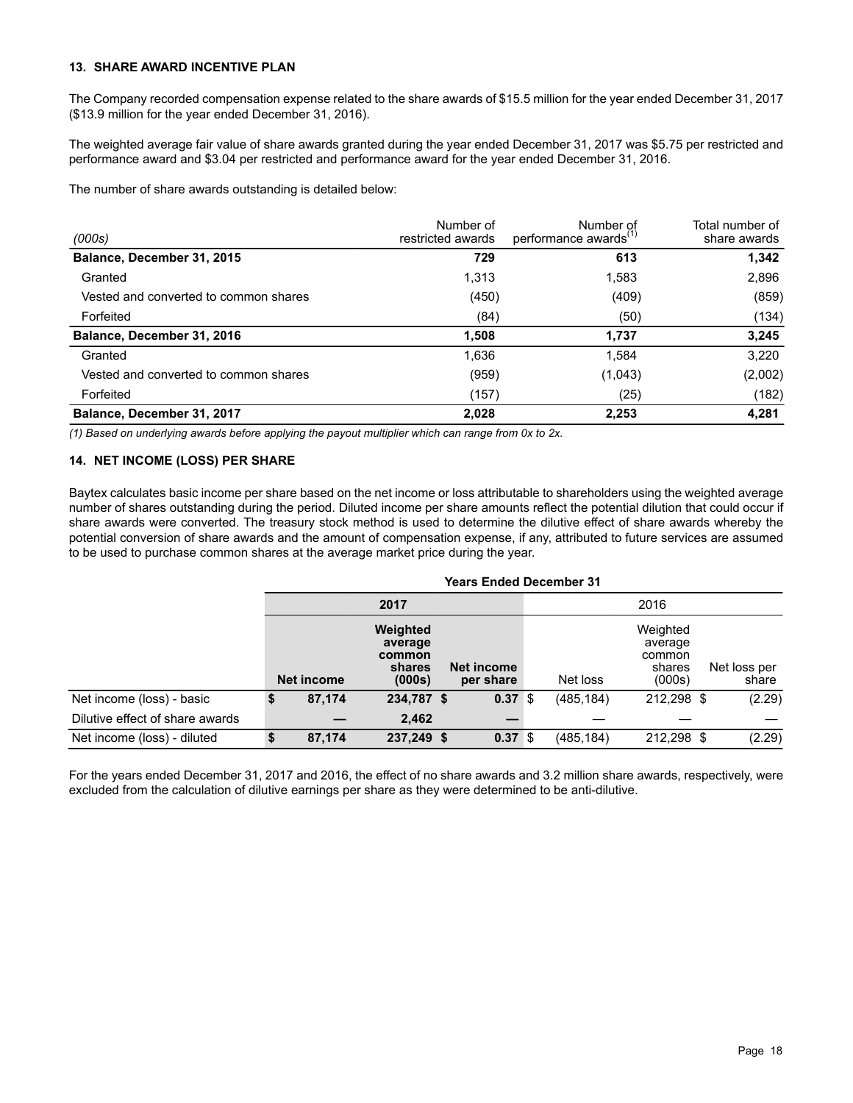### **13. SHARE AWARD INCENTIVE PLAN**

The Company recorded compensation expense related to the share awards of \$15.5 million for the year ended December 31, 2017 (\$13.9 million for the year ended December 31, 2016).

The weighted average fair value of share awards granted during the year ended December 31, 2017 was \$5.75 per restricted and performance award and \$3.04 per restricted and performance award for the year ended December 31, 2016.

The number of share awards outstanding is detailed below:

| (000s)                                | Number of<br>restricted awards | Number of<br>performance awards <sup>(1)</sup> | Total number of<br>share awards |
|---------------------------------------|--------------------------------|------------------------------------------------|---------------------------------|
| Balance, December 31, 2015            | 729                            | 613                                            | 1,342                           |
| Granted                               | 1,313                          | 1,583                                          | 2,896                           |
| Vested and converted to common shares | (450)                          | (409)                                          | (859)                           |
| Forfeited                             | (84)                           | (50)                                           | (134)                           |
| Balance, December 31, 2016            | 1,508                          | 1,737                                          | 3,245                           |
| Granted                               | 1,636                          | 1.584                                          | 3.220                           |
| Vested and converted to common shares | (959)                          | (1,043)                                        | (2,002)                         |
| Forfeited                             | (157)                          | (25)                                           | (182)                           |
| Balance, December 31, 2017            | 2,028                          | 2,253                                          | 4,281                           |

*(1) Based on underlying awards before applying the payout multiplier which can range from 0x to 2x.*

### **14. NET INCOME (LOSS) PER SHARE**

Baytex calculates basic income per share based on the net income or loss attributable to shareholders using the weighted average number of shares outstanding during the period. Diluted income per share amounts reflect the potential dilution that could occur if share awards were converted. The treasury stock method is used to determine the dilutive effect of share awards whereby the potential conversion of share awards and the amount of compensation expense, if any, attributed to future services are assumed to be used to purchase common shares at the average market price during the year.

|                                 | <b>Years Ended December 31</b> |                                                   |  |                         |  |            |                                                   |                       |
|---------------------------------|--------------------------------|---------------------------------------------------|--|-------------------------|--|------------|---------------------------------------------------|-----------------------|
|                                 |                                | 2017                                              |  |                         |  |            | 2016                                              |                       |
|                                 | <b>Net income</b>              | Weighted<br>average<br>common<br>shares<br>(000s) |  | Net income<br>per share |  | Net loss   | Weighted<br>average<br>common<br>shares<br>(000s) | Net loss per<br>share |
| Net income (loss) - basic       | 87.174                         | 234,787 \$                                        |  | $0.37$ \$               |  | (485, 184) | 212,298 \$                                        | (2.29)                |
| Dilutive effect of share awards |                                | 2,462                                             |  |                         |  |            |                                                   |                       |
| Net income (loss) - diluted     | 87,174                         | 237,249 \$                                        |  | $0.37$ \$               |  | (485, 184) | 212,298 \$                                        | (2.29)                |

For the years ended December 31, 2017 and 2016, the effect of no share awards and 3.2 million share awards, respectively, were excluded from the calculation of dilutive earnings per share as they were determined to be anti-dilutive.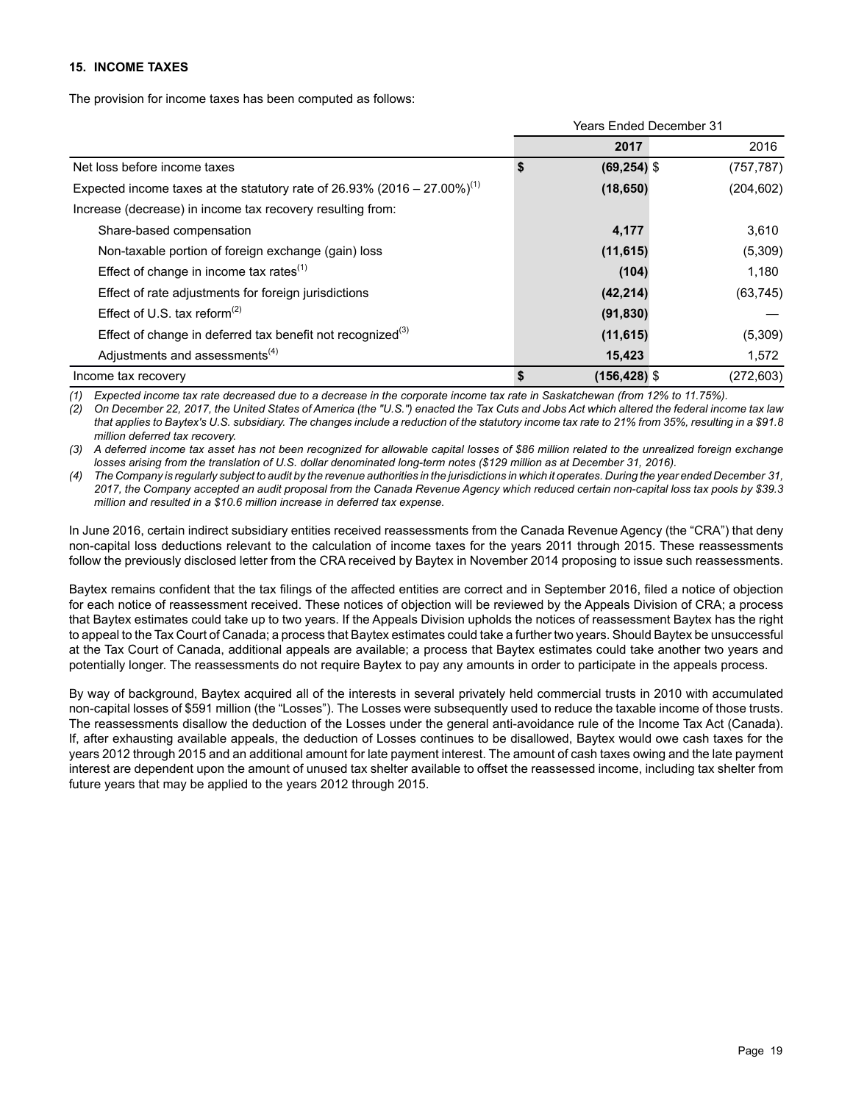### **15. INCOME TAXES**

The provision for income taxes has been computed as follows:

|                                                                                      | <b>Years Ended December 31</b> |            |  |  |
|--------------------------------------------------------------------------------------|--------------------------------|------------|--|--|
|                                                                                      | 2017                           | 2016       |  |  |
| Net loss before income taxes                                                         | \$<br>$(69, 254)$ \$           | (757, 787) |  |  |
| Expected income taxes at the statutory rate of 26.93% (2016 – 27.00%) <sup>(1)</sup> | (18, 650)                      | (204, 602) |  |  |
| Increase (decrease) in income tax recovery resulting from:                           |                                |            |  |  |
| Share-based compensation                                                             | 4,177                          | 3,610      |  |  |
| Non-taxable portion of foreign exchange (gain) loss                                  | (11, 615)                      | (5,309)    |  |  |
| Effect of change in income tax rates $(1)$                                           | (104)                          | 1,180      |  |  |
| Effect of rate adjustments for foreign jurisdictions                                 | (42, 214)                      | (63, 745)  |  |  |
| Effect of U.S. tax reform $^{(2)}$                                                   | (91, 830)                      |            |  |  |
| Effect of change in deferred tax benefit not recognized <sup>(3)</sup>               | (11, 615)                      | (5,309)    |  |  |
| Adjustments and assessments <sup>(4)</sup>                                           | 15,423                         | 1,572      |  |  |
| Income tax recovery                                                                  | $(156, 428)$ \$                | (272, 603) |  |  |

*(1) Expected income tax rate decreased due to a decrease in the corporate income tax rate in Saskatchewan (from 12% to 11.75%).*

*(2) On December 22, 2017, the United States of America (the "U.S.") enacted the Tax Cuts and Jobs Act which altered the federal income tax law that applies to Baytex's U.S. subsidiary. The changes include a reduction of the statutory income tax rate to 21% from 35%, resulting in a \$91.8 million deferred tax recovery.*

*(3) A deferred income tax asset has not been recognized for allowable capital losses of \$86 million related to the unrealized foreign exchange*  losses arising from the translation of U.S. dollar denominated long-term notes (\$129 million as at December 31, 2016).

*(4) The Company is regularly subject to audit by the revenue authorities in the jurisdictions in which it operates. During the year ended December 31, 2017, the Company accepted an audit proposal from the Canada Revenue Agency which reduced certain non-capital loss tax pools by \$39.3 million and resulted in a \$10.6 million increase in deferred tax expense.*

In June 2016, certain indirect subsidiary entities received reassessments from the Canada Revenue Agency (the "CRA") that deny non-capital loss deductions relevant to the calculation of income taxes for the years 2011 through 2015. These reassessments follow the previously disclosed letter from the CRA received by Baytex in November 2014 proposing to issue such reassessments.

Baytex remains confident that the tax filings of the affected entities are correct and in September 2016, filed a notice of objection for each notice of reassessment received. These notices of objection will be reviewed by the Appeals Division of CRA; a process that Baytex estimates could take up to two years. If the Appeals Division upholds the notices of reassessment Baytex has the right to appeal to the Tax Court of Canada; a process that Baytex estimates could take a further two years. Should Baytex be unsuccessful at the Tax Court of Canada, additional appeals are available; a process that Baytex estimates could take another two years and potentially longer. The reassessments do not require Baytex to pay any amounts in order to participate in the appeals process.

By way of background, Baytex acquired all of the interests in several privately held commercial trusts in 2010 with accumulated non-capital losses of \$591 million (the "Losses"). The Losses were subsequently used to reduce the taxable income of those trusts. The reassessments disallow the deduction of the Losses under the general anti-avoidance rule of the Income Tax Act (Canada). If, after exhausting available appeals, the deduction of Losses continues to be disallowed, Baytex would owe cash taxes for the years 2012 through 2015 and an additional amount for late payment interest. The amount of cash taxes owing and the late payment interest are dependent upon the amount of unused tax shelter available to offset the reassessed income, including tax shelter from future years that may be applied to the years 2012 through 2015.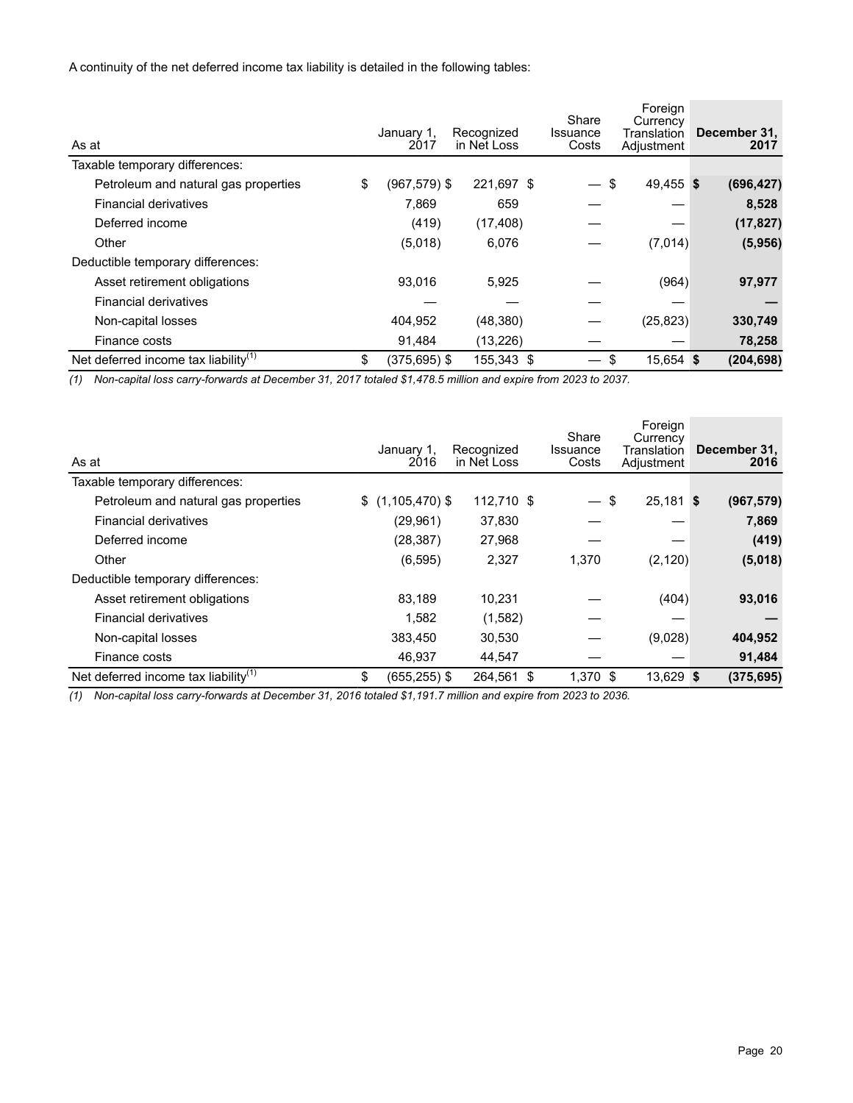A continuity of the net deferred income tax liability is detailed in the following tables:

| As at                                            | January 1,<br>2017 | Recognized<br>in Net Loss | Share<br>Issuance<br>Costs | Foreign<br>Currency<br>Translation<br>Adjustment | December 31,<br>2017 |
|--------------------------------------------------|--------------------|---------------------------|----------------------------|--------------------------------------------------|----------------------|
| Taxable temporary differences:                   |                    |                           |                            |                                                  |                      |
| Petroleum and natural gas properties             | \$<br>(967,579) \$ | 221,697 \$                | $\qquad \qquad$            | 49,455 \$<br>-\$                                 | (696, 427)           |
| <b>Financial derivatives</b>                     | 7.869              | 659                       |                            |                                                  | 8,528                |
| Deferred income                                  | (419)              | (17, 408)                 |                            |                                                  | (17, 827)            |
| Other                                            | (5,018)            | 6,076                     |                            | (7,014)                                          | (5,956)              |
| Deductible temporary differences:                |                    |                           |                            |                                                  |                      |
| Asset retirement obligations                     | 93,016             | 5,925                     |                            | (964)                                            | 97,977               |
| <b>Financial derivatives</b>                     |                    |                           |                            |                                                  |                      |
| Non-capital losses                               | 404,952            | (48,380)                  |                            | (25, 823)                                        | 330,749              |
| Finance costs                                    | 91,484             | (13,226)                  |                            |                                                  | 78,258               |
| Net deferred income tax liability <sup>(1)</sup> | \$<br>(375,695) \$ | 155.343 \$                |                            | 15,654 \$<br>\$                                  | (204, 698)           |

*(1) Non-capital loss carry-forwards at December 31, 2017 totaled \$1,478.5 million and expire from 2023 to 2037.*

| As at                                            | January 1,<br>2016 | Recognized<br>in Net Loss | Share<br>Issuance<br>Costs | Foreign<br>Currency<br>Translation<br>Adjustment | December 31,<br>2016 |
|--------------------------------------------------|--------------------|---------------------------|----------------------------|--------------------------------------------------|----------------------|
| Taxable temporary differences:                   |                    |                           |                            |                                                  |                      |
| Petroleum and natural gas properties             | \$(1,105,470)      | 112.710 \$                | $\qquad \qquad$            | $25,181$ \$<br>\$                                | (967, 579)           |
| <b>Financial derivatives</b>                     | (29, 961)          | 37,830                    |                            |                                                  | 7,869                |
| Deferred income                                  | (28, 387)          | 27.968                    |                            |                                                  | (419)                |
| Other                                            | (6, 595)           | 2,327                     | 1,370                      | (2, 120)                                         | (5,018)              |
| Deductible temporary differences:                |                    |                           |                            |                                                  |                      |
| Asset retirement obligations                     | 83,189             | 10.231                    |                            | (404)                                            | 93,016               |
| <b>Financial derivatives</b>                     | 1.582              | (1,582)                   |                            |                                                  |                      |
| Non-capital losses                               | 383,450            | 30,530                    |                            | (9,028)                                          | 404,952              |
| Finance costs                                    | 46.937             | 44,547                    |                            |                                                  | 91,484               |
| Net deferred income tax liability <sup>(1)</sup> | (655,255) \$<br>\$ | 264,561 \$                | 1,370 \$                   | 13,629 \$                                        | (375, 695)           |

*(1) Non-capital loss carry-forwards at December 31, 2016 totaled \$1,191.7 million and expire from 2023 to 2036.*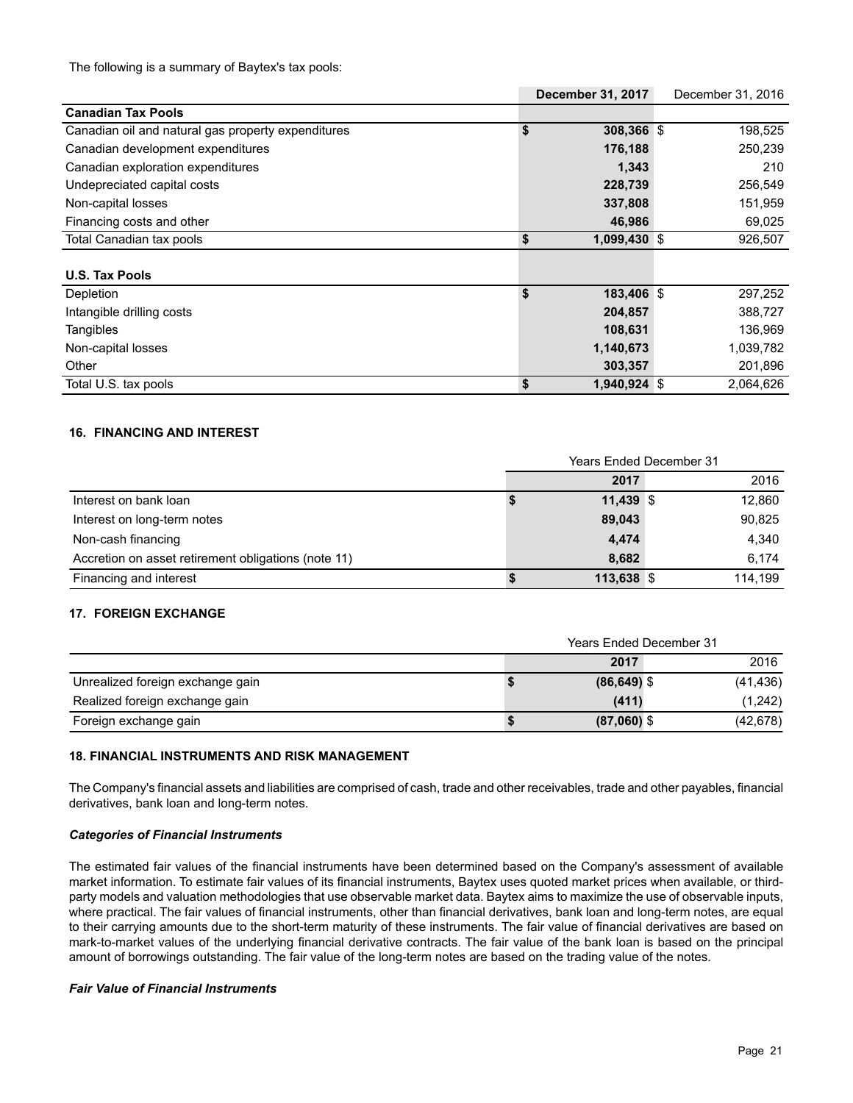The following is a summary of Baytex's tax pools:

|                                                    | <b>December 31, 2017</b> | December 31, 2016 |
|----------------------------------------------------|--------------------------|-------------------|
| <b>Canadian Tax Pools</b>                          |                          |                   |
| Canadian oil and natural gas property expenditures | \$<br>308,366 \$         | 198,525           |
| Canadian development expenditures                  | 176,188                  | 250,239           |
| Canadian exploration expenditures                  | 1,343                    | 210               |
| Undepreciated capital costs                        | 228,739                  | 256,549           |
| Non-capital losses                                 | 337,808                  | 151,959           |
| Financing costs and other                          | 46,986                   | 69,025            |
| Total Canadian tax pools                           | \$<br>1,099,430 \$       | 926,507           |
|                                                    |                          |                   |
| <b>U.S. Tax Pools</b>                              |                          |                   |
| Depletion                                          | \$<br>183,406 \$         | 297,252           |
| Intangible drilling costs                          | 204,857                  | 388,727           |
| Tangibles                                          | 108,631                  | 136,969           |
| Non-capital losses                                 | 1,140,673                | 1,039,782         |
| Other                                              | 303,357                  | 201,896           |
| Total U.S. tax pools                               | \$<br>1,940,924 \$       | 2,064,626         |

#### **16. FINANCING AND INTEREST**

|                                                     | <b>Years Ended December 31</b> |             |  |         |  |
|-----------------------------------------------------|--------------------------------|-------------|--|---------|--|
|                                                     |                                | 2017        |  | 2016    |  |
| Interest on bank loan                               |                                | $11,439$ \$ |  | 12,860  |  |
| Interest on long-term notes                         |                                | 89,043      |  | 90,825  |  |
| Non-cash financing                                  |                                | 4,474       |  | 4,340   |  |
| Accretion on asset retirement obligations (note 11) |                                | 8,682       |  | 6.174   |  |
| Financing and interest                              |                                | 113,638 \$  |  | 114.199 |  |

#### **17. FOREIGN EXCHANGE**

|                                  | <b>Years Ended December 31</b> |           |  |  |
|----------------------------------|--------------------------------|-----------|--|--|
|                                  | 2017                           | 2016      |  |  |
| Unrealized foreign exchange gain | $(86, 649)$ \$                 | (41, 436) |  |  |
| Realized foreign exchange gain   | (411)                          | (1,242)   |  |  |
| Foreign exchange gain            | $(87,060)$ \$                  | (42, 678) |  |  |

#### **18. FINANCIAL INSTRUMENTS AND RISK MANAGEMENT**

The Company's financial assets and liabilities are comprised of cash, trade and other receivables, trade and other payables, financial derivatives, bank loan and long-term notes.

#### *Categories of Financial Instruments*

The estimated fair values of the financial instruments have been determined based on the Company's assessment of available market information. To estimate fair values of its financial instruments, Baytex uses quoted market prices when available, or thirdparty models and valuation methodologies that use observable market data. Baytex aims to maximize the use of observable inputs, where practical. The fair values of financial instruments, other than financial derivatives, bank loan and long-term notes, are equal to their carrying amounts due to the short-term maturity of these instruments. The fair value of financial derivatives are based on mark-to-market values of the underlying financial derivative contracts. The fair value of the bank loan is based on the principal amount of borrowings outstanding. The fair value of the long-term notes are based on the trading value of the notes.

#### *Fair Value of Financial Instruments*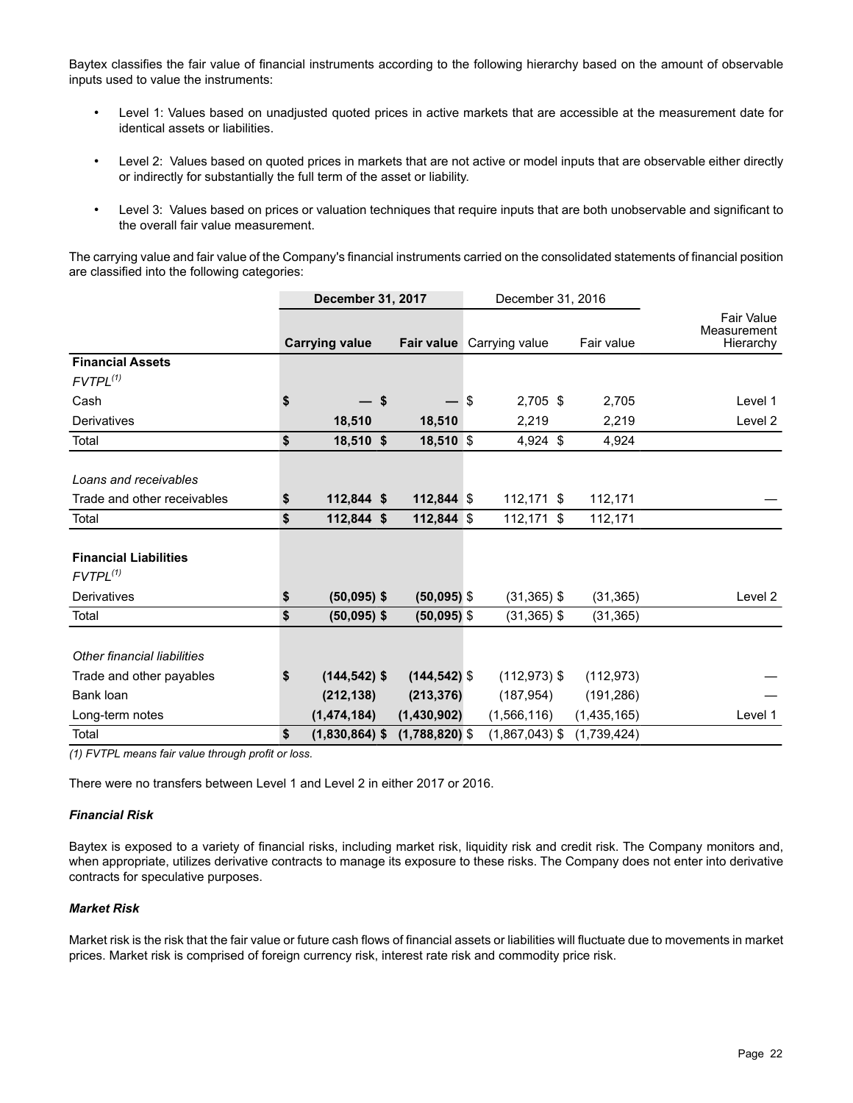Baytex classifies the fair value of financial instruments according to the following hierarchy based on the amount of observable inputs used to value the instruments:

- Level 1: Values based on unadjusted quoted prices in active markets that are accessible at the measurement date for identical assets or liabilities.
- Level 2: Values based on quoted prices in markets that are not active or model inputs that are observable either directly or indirectly for substantially the full term of the asset or liability.
- Level 3: Values based on prices or valuation techniques that require inputs that are both unobservable and significant to the overall fair value measurement.

The carrying value and fair value of the Company's financial instruments carried on the consolidated statements of financial position are classified into the following categories:

|                                               | <b>December 31, 2017</b><br>December 31, 2016 |                  |             |                                         |             |                                               |
|-----------------------------------------------|-----------------------------------------------|------------------|-------------|-----------------------------------------|-------------|-----------------------------------------------|
|                                               | <b>Carrying value</b>                         |                  |             | Fair value Carrying value<br>Fair value |             | <b>Fair Value</b><br>Measurement<br>Hierarchy |
| <b>Financial Assets</b>                       |                                               |                  |             |                                         |             |                                               |
| $FVTPL^{(1)}$                                 |                                               |                  |             |                                         |             |                                               |
| Cash                                          | \$<br>\$                                      |                  | \$          | $2,705$ \$                              | 2,705       | Level 1                                       |
| Derivatives                                   | 18,510                                        | 18,510           |             | 2,219                                   | 2,219       | Level 2                                       |
| Total                                         | \$<br>18,510 \$                               | 18,510 \$        |             | 4,924 \$                                | 4,924       |                                               |
| Loans and receivables                         |                                               |                  |             |                                         |             |                                               |
| Trade and other receivables                   | \$<br>112,844 \$                              | 112,844 \$       |             | 112,171 \$                              | 112,171     |                                               |
| Total                                         | \$<br>112,844 \$                              | $112,844$ \$     |             | 112,171 \$                              | 112,171     |                                               |
| <b>Financial Liabilities</b><br>$FVTPL^{(1)}$ |                                               |                  |             |                                         |             |                                               |
| Derivatives                                   | \$<br>$(50,095)$ \$                           | $(50,095)$ \$    |             | $(31, 365)$ \$                          | (31, 365)   | Level 2                                       |
| Total                                         | \$<br>$(50,095)$ \$                           | $(50,095)$ \$    |             | $(31, 365)$ \$                          | (31, 365)   |                                               |
| <b>Other financial liabilities</b>            |                                               |                  |             |                                         |             |                                               |
| Trade and other payables                      | \$<br>$(144, 542)$ \$                         | $(144, 542)$ \$  |             | $(112, 973)$ \$                         | (112, 973)  |                                               |
| Bank loan                                     | (212, 138)                                    | (213, 376)       |             | (187, 954)                              | (191, 286)  |                                               |
| Long-term notes                               | (1,474,184)                                   | (1,430,902)      | (1,566,116) |                                         | (1,435,165) | Level 1                                       |
| Total                                         | \$<br>$(1,830,864)$ \$                        | $(1,788,820)$ \$ |             | $(1,867,043)$ \$                        | (1,739,424) |                                               |

*(1) FVTPL means fair value through profit or loss.*

There were no transfers between Level 1 and Level 2 in either 2017 or 2016.

#### *Financial Risk*

Baytex is exposed to a variety of financial risks, including market risk, liquidity risk and credit risk. The Company monitors and, when appropriate, utilizes derivative contracts to manage its exposure to these risks. The Company does not enter into derivative contracts for speculative purposes.

#### *Market Risk*

Market risk is the risk that the fair value or future cash flows of financial assets or liabilities will fluctuate due to movements in market prices. Market risk is comprised of foreign currency risk, interest rate risk and commodity price risk.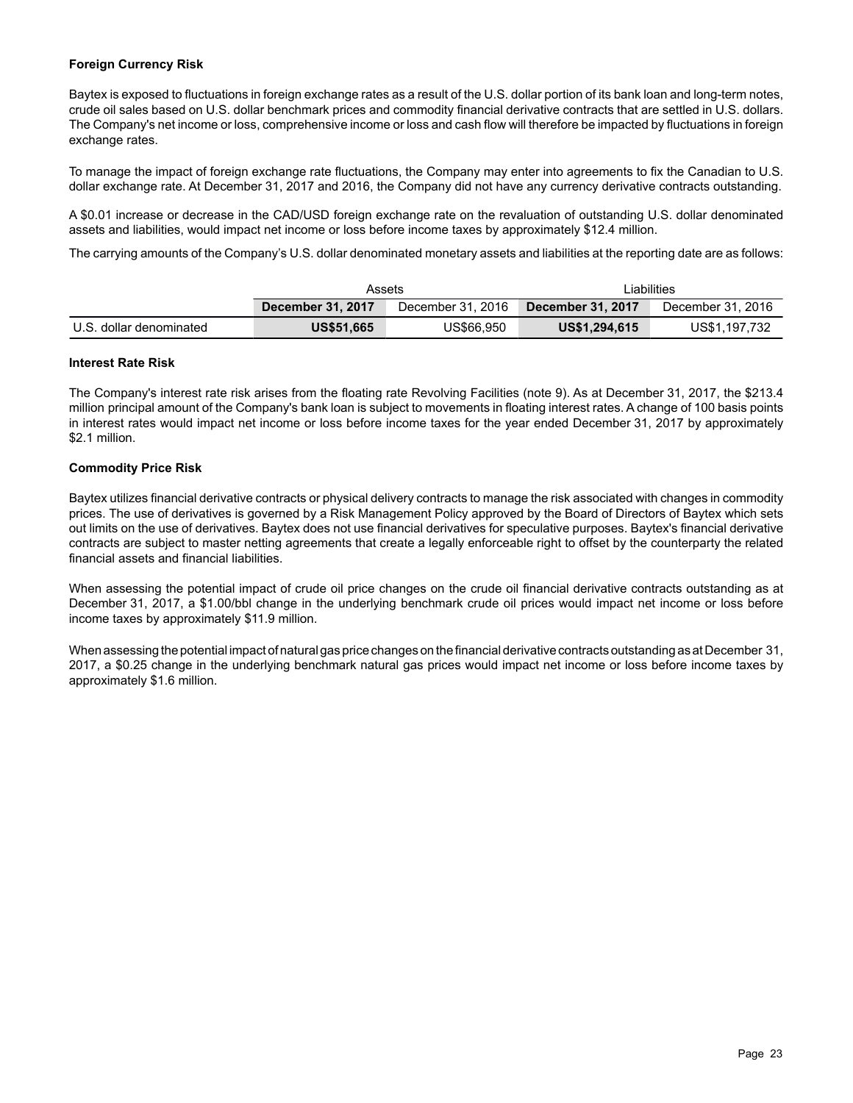## **Foreign Currency Risk**

Baytex is exposed to fluctuations in foreign exchange rates as a result of the U.S. dollar portion of its bank loan and long-term notes, crude oil sales based on U.S. dollar benchmark prices and commodity financial derivative contracts that are settled in U.S. dollars. The Company's net income or loss, comprehensive income or loss and cash flow will therefore be impacted by fluctuations in foreign exchange rates.

To manage the impact of foreign exchange rate fluctuations, the Company may enter into agreements to fix the Canadian to U.S. dollar exchange rate. At December 31, 2017 and 2016, the Company did not have any currency derivative contracts outstanding.

A \$0.01 increase or decrease in the CAD/USD foreign exchange rate on the revaluation of outstanding U.S. dollar denominated assets and liabilities, would impact net income or loss before income taxes by approximately \$12.4 million.

The carrying amounts of the Company's U.S. dollar denominated monetary assets and liabilities at the reporting date are as follows:

|                         | Assets                   |                   |                       | Liabilities       |
|-------------------------|--------------------------|-------------------|-----------------------|-------------------|
|                         | <b>December 31, 2017</b> | December 31, 2016 | December 31, $2017$ . | December 31, 2016 |
| U.S. dollar denominated | <b>US\$51.665</b>        | US\$66,950        | US\$1,294,615         | US\$1,197,732     |

#### **Interest Rate Risk**

The Company's interest rate risk arises from the floating rate Revolving Facilities (note 9). As at December 31, 2017, the \$213.4 million principal amount of the Company's bank loan is subject to movements in floating interest rates. A change of 100 basis points in interest rates would impact net income or loss before income taxes for the year ended December 31, 2017 by approximately \$2.1 million.

## **Commodity Price Risk**

Baytex utilizes financial derivative contracts or physical delivery contracts to manage the risk associated with changes in commodity prices. The use of derivatives is governed by a Risk Management Policy approved by the Board of Directors of Baytex which sets out limits on the use of derivatives. Baytex does not use financial derivatives for speculative purposes. Baytex's financial derivative contracts are subject to master netting agreements that create a legally enforceable right to offset by the counterparty the related financial assets and financial liabilities.

When assessing the potential impact of crude oil price changes on the crude oil financial derivative contracts outstanding as at December 31, 2017, a \$1.00/bbl change in the underlying benchmark crude oil prices would impact net income or loss before income taxes by approximately \$11.9 million.

When assessing the potential impact of natural gas price changes on the financial derivative contracts outstanding as at December 31, 2017, a \$0.25 change in the underlying benchmark natural gas prices would impact net income or loss before income taxes by approximately \$1.6 million.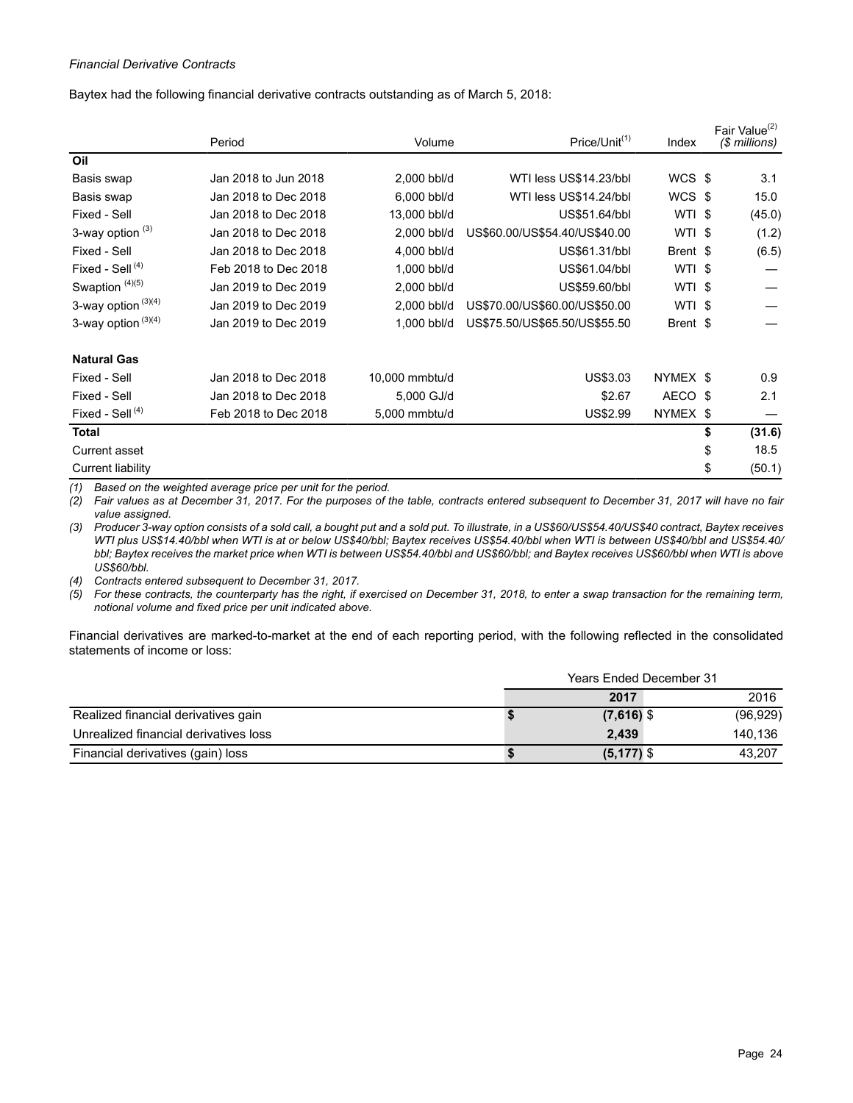### *Financial Derivative Contracts*

### Baytex had the following financial derivative contracts outstanding as of March 5, 2018:

|                            | Period               | Volume         | Price/Unit <sup>(1)</sup>     | Index    |     | Fair Value <sup>(2)</sup><br>(\$ millions) |
|----------------------------|----------------------|----------------|-------------------------------|----------|-----|--------------------------------------------|
| Oil                        |                      |                |                               |          |     |                                            |
| Basis swap                 | Jan 2018 to Jun 2018 | 2,000 bbl/d    | WTI less US\$14.23/bbl        | WCS \$   |     | 3.1                                        |
| Basis swap                 | Jan 2018 to Dec 2018 | 6,000 bbl/d    | WTI less US\$14.24/bbl        | WCS \$   |     | 15.0                                       |
| Fixed - Sell               | Jan 2018 to Dec 2018 | 13,000 bbl/d   | US\$51.64/bbl                 | WTI \$   |     | (45.0)                                     |
| 3-way option (3)           | Jan 2018 to Dec 2018 | 2,000 bbl/d    | US\$60.00/US\$54.40/US\$40.00 | WTI \$   |     | (1.2)                                      |
| Fixed - Sell               | Jan 2018 to Dec 2018 | 4,000 bbl/d    | US\$61.31/bbl                 | Brent \$ |     | (6.5)                                      |
| Fixed - Sell $(4)$         | Feb 2018 to Dec 2018 | 1,000 bbl/d    | US\$61.04/bbl                 | WTI \$   |     |                                            |
| Swaption <sup>(4)(5)</sup> | Jan 2019 to Dec 2019 | 2,000 bbl/d    | US\$59.60/bbl                 | WTI      | \$  |                                            |
| 3-way option (3)(4)        | Jan 2019 to Dec 2019 | 2,000 bbl/d    | US\$70.00/US\$60.00/US\$50.00 | WTI      | -\$ |                                            |
| 3-way option $(3)(4)$      | Jan 2019 to Dec 2019 | 1,000 bbl/d    | US\$75.50/US\$65.50/US\$55.50 | Brent \$ |     |                                            |
| <b>Natural Gas</b>         |                      |                |                               |          |     |                                            |
| Fixed - Sell               | Jan 2018 to Dec 2018 | 10,000 mmbtu/d | US\$3.03                      | NYMEX \$ |     | 0.9                                        |
| Fixed - Sell               | Jan 2018 to Dec 2018 | 5,000 GJ/d     | \$2.67                        | AECO \$  |     | 2.1                                        |
| Fixed - Sell $(4)$         | Feb 2018 to Dec 2018 | 5,000 mmbtu/d  | US\$2.99                      | NYMEX \$ |     |                                            |
| <b>Total</b>               |                      |                |                               |          | \$  | (31.6)                                     |
| Current asset              |                      |                |                               |          | \$  | 18.5                                       |
| Current liability          |                      |                |                               |          | \$  | (50.1)                                     |

*(1) Based on the weighted average price per unit for the period.* 

*(2) Fair values as at December 31, 2017. For the purposes of the table, contracts entered subsequent to December 31, 2017 will have no fair value assigned.*

*(3) Producer 3-way option consists of a sold call, a bought put and a sold put. To illustrate, in a US\$60/US\$54.40/US\$40 contract, Baytex receives WTI plus US\$14.40/bbl when WTI is at or below US\$40/bbl; Baytex receives US\$54.40/bbl when WTI is between US\$40/bbl and US\$54.40/ bbl; Baytex receives the market price when WTI is between US\$54.40/bbl and US\$60/bbl; and Baytex receives US\$60/bbl when WTI is above US\$60/bbl.*

*(4) Contracts entered subsequent to December 31, 2017.*

*(5) For these contracts, the counterparty has the right, if exercised on December 31, 2018, to enter a swap transaction for the remaining term, notional volume and fixed price per unit indicated above.*

Financial derivatives are marked-to-market at the end of each reporting period, with the following reflected in the consolidated statements of income or loss:

|                                       | <b>Years Ended December 31</b> |              |           |  |
|---------------------------------------|--------------------------------|--------------|-----------|--|
|                                       |                                | 2017         | 2016      |  |
| Realized financial derivatives gain   |                                | $(7,616)$ \$ | (96, 929) |  |
| Unrealized financial derivatives loss |                                | 2.439        | 140.136   |  |
| Financial derivatives (gain) loss     |                                | $(5,177)$ \$ | 43.207    |  |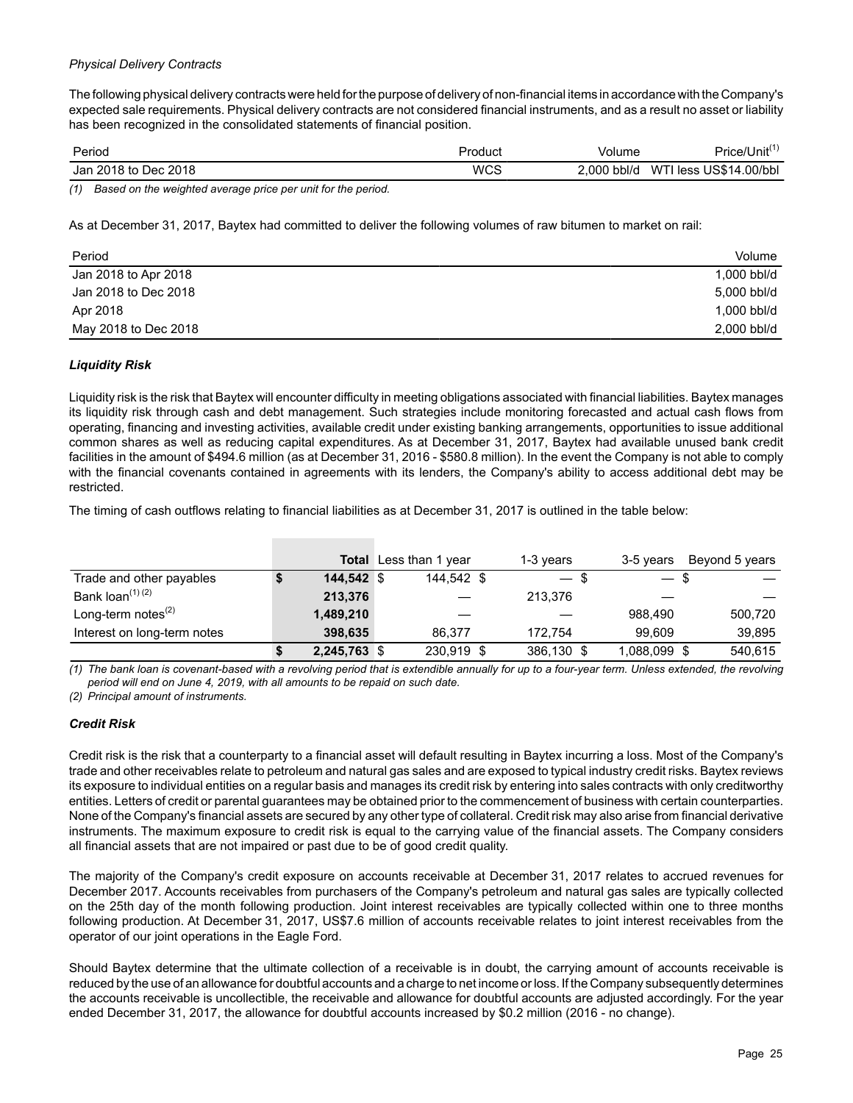### *Physical Delivery Contracts*

The following physical delivery contracts were held for the purpose of delivery of non-financial items in accordance with the Company's expected sale requirements. Physical delivery contracts are not considered financial instruments, and as a result no asset or liability has been recognized in the consolidated statements of financial position.

| Period                              | Product    | 'olume       | <br>Price/L.<br>Jnıt'                         |
|-------------------------------------|------------|--------------|-----------------------------------------------|
| 2018<br>2018<br>. t∩<br>Jan<br>Jec. | <b>WCS</b> | റററ<br>bbl/d | .00/bbl<br><b>US\$1</b><br><b>WTI</b><br>less |

*(1) Based on the weighted average price per unit for the period.* 

As at December 31, 2017, Baytex had committed to deliver the following volumes of raw bitumen to market on rail:

| Period               | Volume      |
|----------------------|-------------|
| Jan 2018 to Apr 2018 | 1,000 bbl/d |
| Jan 2018 to Dec 2018 | 5,000 bbl/d |
| Apr 2018             | 1,000 bbl/d |
| May 2018 to Dec 2018 | 2,000 bbl/d |

#### *Liquidity Risk*

Liquidity risk is the risk that Baytex will encounter difficulty in meeting obligations associated with financial liabilities. Baytex manages its liquidity risk through cash and debt management. Such strategies include monitoring forecasted and actual cash flows from operating, financing and investing activities, available credit under existing banking arrangements, opportunities to issue additional common shares as well as reducing capital expenditures. As at December 31, 2017, Baytex had available unused bank credit facilities in the amount of \$494.6 million (as at December 31, 2016 - \$580.8 million). In the event the Company is not able to comply with the financial covenants contained in agreements with its lenders, the Company's ability to access additional debt may be restricted.

The timing of cash outflows relating to financial liabilities as at December 31, 2017 is outlined in the table below:

|                             |              | <b>Total</b> Less than 1 year |            | 1-3 years                |   | 3-5 years    | Beyond 5 years |
|-----------------------------|--------------|-------------------------------|------------|--------------------------|---|--------------|----------------|
| Trade and other payables    | 144.542 \$   |                               | 144.542 \$ | $\overline{\phantom{0}}$ | S | $-$ \$       |                |
| Bank loan <sup>(1)(2)</sup> | 213,376      |                               |            | 213.376                  |   |              |                |
| Long-term notes $(2)$       | 1,489,210    |                               |            |                          |   | 988.490      | 500,720        |
| Interest on long-term notes | 398.635      |                               | 86.377     | 172.754                  |   | 99.609       | 39.895         |
|                             | 2,245,763 \$ | 230,919 \$                    |            | 386,130 \$               |   | 1,088,099 \$ | 540,615        |

*(1) The bank loan is covenant-based with a revolving period that is extendible annually for up to a four-year term. Unless extended, the revolving period will end on June 4, 2019, with all amounts to be repaid on such date.* 

*(2) Principal amount of instruments.*

#### *Credit Risk*

Credit risk is the risk that a counterparty to a financial asset will default resulting in Baytex incurring a loss. Most of the Company's trade and other receivables relate to petroleum and natural gas sales and are exposed to typical industry credit risks. Baytex reviews its exposure to individual entities on a regular basis and manages its credit risk by entering into sales contracts with only creditworthy entities. Letters of credit or parental guarantees may be obtained prior to the commencement of business with certain counterparties. None of the Company's financial assets are secured by any other type of collateral. Credit risk may also arise from financial derivative instruments. The maximum exposure to credit risk is equal to the carrying value of the financial assets. The Company considers all financial assets that are not impaired or past due to be of good credit quality.

The majority of the Company's credit exposure on accounts receivable at December 31, 2017 relates to accrued revenues for December 2017. Accounts receivables from purchasers of the Company's petroleum and natural gas sales are typically collected on the 25th day of the month following production. Joint interest receivables are typically collected within one to three months following production. At December 31, 2017, US\$7.6 million of accounts receivable relates to joint interest receivables from the operator of our joint operations in the Eagle Ford.

Should Baytex determine that the ultimate collection of a receivable is in doubt, the carrying amount of accounts receivable is reduced by the use of an allowance for doubtful accounts and a charge to net income or loss. If the Company subsequently determines the accounts receivable is uncollectible, the receivable and allowance for doubtful accounts are adjusted accordingly. For the year ended December 31, 2017, the allowance for doubtful accounts increased by \$0.2 million (2016 - no change).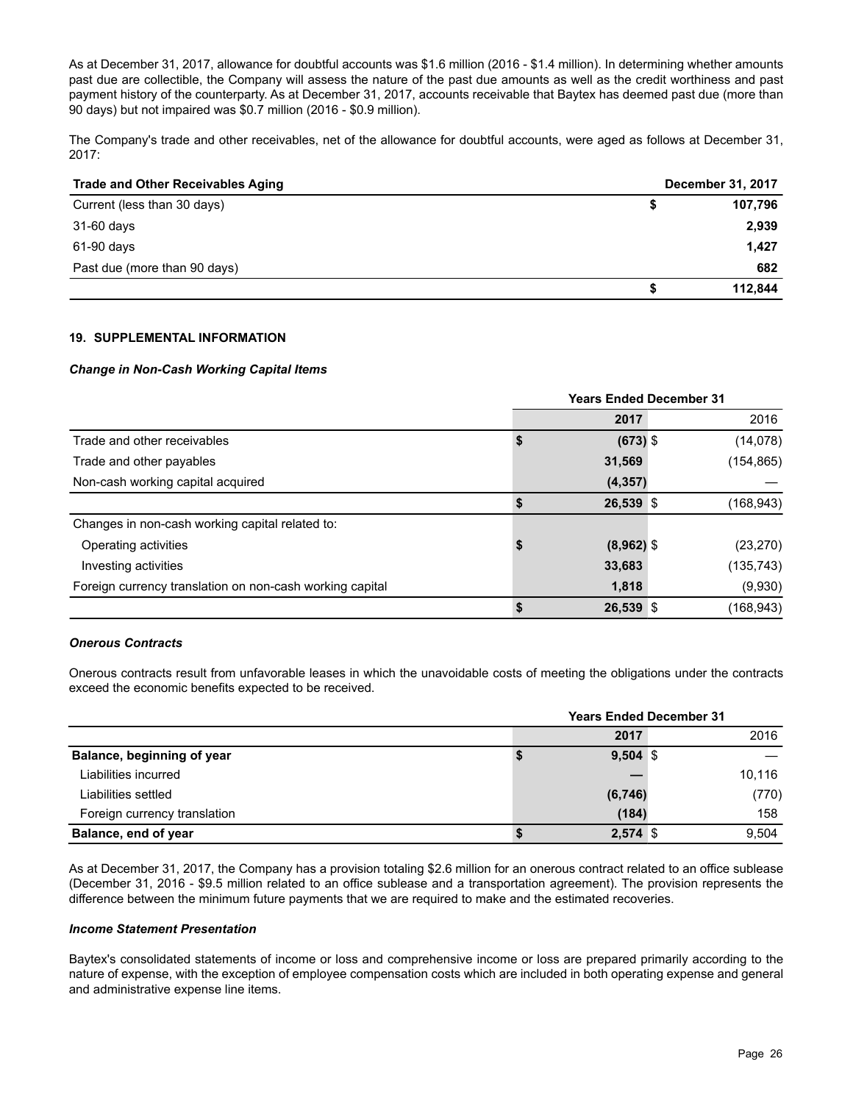As at December 31, 2017, allowance for doubtful accounts was \$1.6 million (2016 - \$1.4 million). In determining whether amounts past due are collectible, the Company will assess the nature of the past due amounts as well as the credit worthiness and past payment history of the counterparty. As at December 31, 2017, accounts receivable that Baytex has deemed past due (more than 90 days) but not impaired was \$0.7 million (2016 - \$0.9 million).

The Company's trade and other receivables, net of the allowance for doubtful accounts, were aged as follows at December 31, 2017:

| <b>Trade and Other Receivables Aging</b> |  | December 31, 2017 |  |  |  |
|------------------------------------------|--|-------------------|--|--|--|
| Current (less than 30 days)              |  | 107,796           |  |  |  |
| 31-60 days                               |  | 2,939             |  |  |  |
| 61-90 days                               |  | 1,427             |  |  |  |
| Past due (more than 90 days)             |  | 682               |  |  |  |
|                                          |  | 112.844           |  |  |  |

# **19. SUPPLEMENTAL INFORMATION**

### *Change in Non-Cash Working Capital Items*

|                                                          | <b>Years Ended December 31</b> |  |            |  |  |
|----------------------------------------------------------|--------------------------------|--|------------|--|--|
|                                                          | 2017                           |  | 2016       |  |  |
| Trade and other receivables                              | \$<br>$(673)$ \$               |  | (14, 078)  |  |  |
| Trade and other payables                                 | 31,569                         |  | (154, 865) |  |  |
| Non-cash working capital acquired                        | (4, 357)                       |  |            |  |  |
|                                                          | 26,539 \$                      |  | (168, 943) |  |  |
| Changes in non-cash working capital related to:          |                                |  |            |  |  |
| Operating activities                                     | \$<br>$(8,962)$ \$             |  | (23, 270)  |  |  |
| Investing activities                                     | 33,683                         |  | (135, 743) |  |  |
| Foreign currency translation on non-cash working capital | 1,818                          |  | (9,930)    |  |  |
|                                                          | 26,539 \$                      |  | (168, 943) |  |  |

#### *Onerous Contracts*

Onerous contracts result from unfavorable leases in which the unavoidable costs of meeting the obligations under the contracts exceed the economic benefits expected to be received.

|                              | <b>Years Ended December 31</b> |  |        |  |  |
|------------------------------|--------------------------------|--|--------|--|--|
|                              | 2017                           |  | 2016   |  |  |
| Balance, beginning of year   | $9,504$ \$                     |  |        |  |  |
| Liabilities incurred         |                                |  | 10,116 |  |  |
| Liabilities settled          | (6, 746)                       |  | (770)  |  |  |
| Foreign currency translation | (184)                          |  | 158    |  |  |
| Balance, end of year         | $2,574$ \$                     |  | 9.504  |  |  |

As at December 31, 2017, the Company has a provision totaling \$2.6 million for an onerous contract related to an office sublease (December 31, 2016 - \$9.5 million related to an office sublease and a transportation agreement). The provision represents the difference between the minimum future payments that we are required to make and the estimated recoveries.

#### *Income Statement Presentation*

Baytex's consolidated statements of income or loss and comprehensive income or loss are prepared primarily according to the nature of expense, with the exception of employee compensation costs which are included in both operating expense and general and administrative expense line items.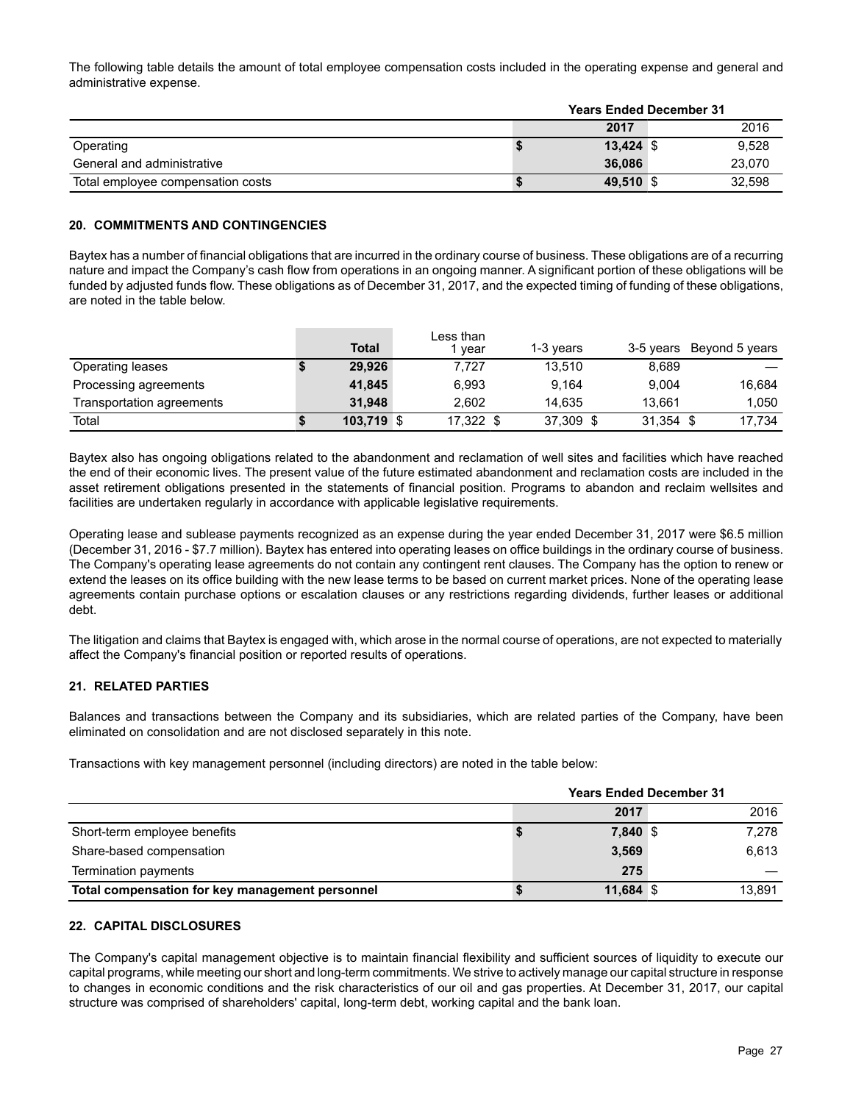The following table details the amount of total employee compensation costs included in the operating expense and general and administrative expense.

|                                   | <b>Years Ended December 31</b> |             |  |        |  |
|-----------------------------------|--------------------------------|-------------|--|--------|--|
|                                   |                                | 2017        |  | 2016   |  |
| Operating                         |                                | $13.424$ \$ |  | 9,528  |  |
| General and administrative        |                                | 36.086      |  | 23,070 |  |
| Total employee compensation costs |                                | 49,510 \$   |  | 32,598 |  |

### **20. COMMITMENTS AND CONTINGENCIES**

Baytex has a number of financial obligations that are incurred in the ordinary course of business. These obligations are of a recurring nature and impact the Company's cash flow from operations in an ongoing manner. A significant portion of these obligations will be funded by adjusted funds flow. These obligations as of December 31, 2017, and the expected timing of funding of these obligations, are noted in the table below.

|                           | <b>Total</b>     | Less than<br>vear | 1-3 years | 3-5 years | Beyond 5 years |
|---------------------------|------------------|-------------------|-----------|-----------|----------------|
| Operating leases          | 29.926           | 7.727             | 13.510    | 8.689     |                |
| Processing agreements     | 41.845           | 6.993             | 9.164     | 9.004     | 16.684         |
| Transportation agreements | 31.948           | 2.602             | 14.635    | 13.661    | 1.050          |
| Total                     | \$<br>103,719 \$ | 17,322 \$         | 37,309    | 31.354    | 17.734         |

Baytex also has ongoing obligations related to the abandonment and reclamation of well sites and facilities which have reached the end of their economic lives. The present value of the future estimated abandonment and reclamation costs are included in the asset retirement obligations presented in the statements of financial position. Programs to abandon and reclaim wellsites and facilities are undertaken regularly in accordance with applicable legislative requirements.

Operating lease and sublease payments recognized as an expense during the year ended December 31, 2017 were \$6.5 million (December 31, 2016 - \$7.7 million). Baytex has entered into operating leases on office buildings in the ordinary course of business. The Company's operating lease agreements do not contain any contingent rent clauses. The Company has the option to renew or extend the leases on its office building with the new lease terms to be based on current market prices. None of the operating lease agreements contain purchase options or escalation clauses or any restrictions regarding dividends, further leases or additional debt.

The litigation and claims that Baytex is engaged with, which arose in the normal course of operations, are not expected to materially affect the Company's financial position or reported results of operations.

## **21. RELATED PARTIES**

Balances and transactions between the Company and its subsidiaries, which are related parties of the Company, have been eliminated on consolidation and are not disclosed separately in this note.

Transactions with key management personnel (including directors) are noted in the table below:

|                                                 | <b>Years Ended December 31</b> |             |  |        |
|-------------------------------------------------|--------------------------------|-------------|--|--------|
|                                                 |                                | 2017        |  | 2016   |
| Short-term employee benefits                    |                                | 7,840 \$    |  | 7,278  |
| Share-based compensation                        |                                | 3,569       |  | 6.613  |
| Termination payments                            |                                | 275         |  |        |
| Total compensation for key management personnel |                                | $11,684$ \$ |  | 13.891 |

### **22. CAPITAL DISCLOSURES**

The Company's capital management objective is to maintain financial flexibility and sufficient sources of liquidity to execute our capital programs, while meeting our short and long-term commitments. We strive to actively manage our capital structure in response to changes in economic conditions and the risk characteristics of our oil and gas properties. At December 31, 2017, our capital structure was comprised of shareholders' capital, long-term debt, working capital and the bank loan.